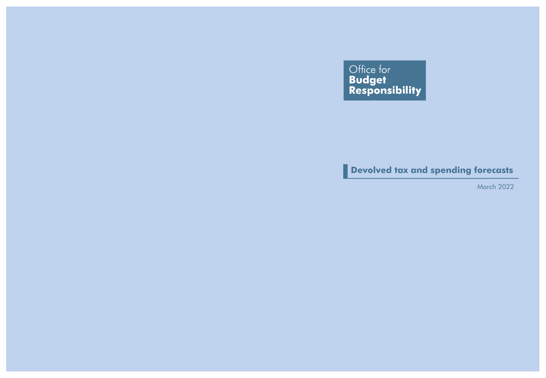Office for **Budget Responsibility** 

# <u>I.</u> **Devolved tax and spending forecasts**

March 2022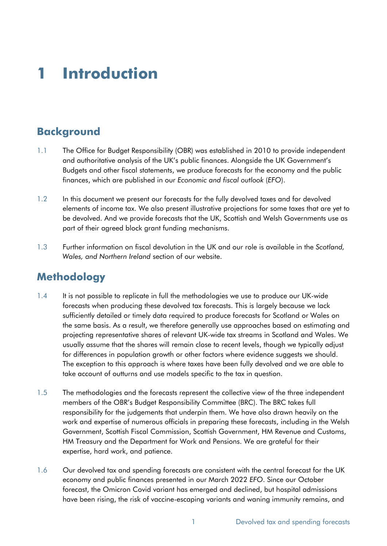# **1 Introduction**

# **Background**

- 1.1 The Office for Budget Responsibility (OBR) was established in 2010 to provide independent and authoritative analysis of the UK's public finances. Alongside the UK Government's Budgets and other fiscal statements, we produce forecasts for the economy and the public finances, which are published in our *Economic and fiscal outlook* (*EFO*).
- 1.2 In this document we present our forecasts for the fully devolved taxes and for devolved elements of income tax. We also present illustrative projections for some taxes that are yet to be devolved. And we provide forecasts that the UK, Scottish and Welsh Governments use as part of their agreed block grant funding mechanisms.
- 1.3 Further information on fiscal devolution in the UK and our role is available in the *Scotland, Wales, and Northern Ireland* section of our website.

# **Methodology**

- 1.4 It is not possible to replicate in full the methodologies we use to produce our UK-wide forecasts when producing these devolved tax forecasts. This is largely because we lack sufficiently detailed or timely data required to produce forecasts for Scotland or Wales on the same basis. As a result, we therefore generally use approaches based on estimating and projecting representative shares of relevant UK-wide tax streams in Scotland and Wales. We usually assume that the shares will remain close to recent levels, though we typically adjust for differences in population growth or other factors where evidence suggests we should. The exception to this approach is where taxes have been fully devolved and we are able to take account of outturns and use models specific to the tax in question.
- 1.5 The methodologies and the forecasts represent the collective view of the three independent members of the OBR's Budget Responsibility Committee (BRC). The BRC takes full responsibility for the judgements that underpin them. We have also drawn heavily on the work and expertise of numerous officials in preparing these forecasts, including in the Welsh Government, Scottish Fiscal Commission, Scottish Government, HM Revenue and Customs, HM Treasury and the Department for Work and Pensions. We are grateful for their expertise, hard work, and patience.
- 1.6 Our devolved tax and spending forecasts are consistent with the central forecast for the UK economy and public finances presented in our March 2022 *EFO*. Since our October forecast, the Omicron Covid variant has emerged and declined, but hospital admissions have been rising, the risk of vaccine-escaping variants and waning immunity remains, and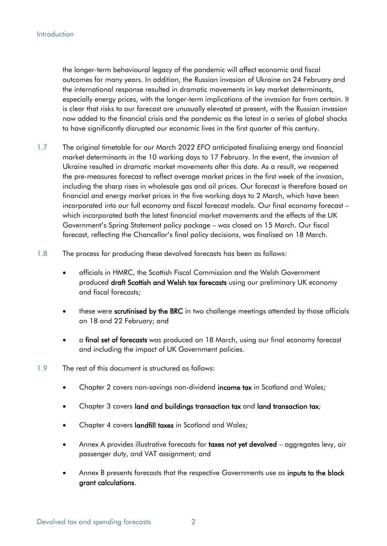the longer-term behavioural legacy of the pandemic will affect economic and fiscal outcomes for many years. In addition, the Russian invasion of Ukraine on 24 February and the international response resulted in dramatic movements in key market determinants, especially energy prices, with the longer-term implications of the invasion far from certain. It is clear that risks to our forecast are unusually elevated at present, with the Russian invasion now added to the financial crisis and the pandemic as the latest in a series of global shocks to have significantly disrupted our economic lives in the first quarter of this century.

- 1.7 The original timetable for our March 2022 *EFO* anticipated finalising energy and financial market determinants in the 10 working days to 17 February. In the event, the invasion of Ukraine resulted in dramatic market movements after this date. As a result, we reopened the pre-measures forecast to reflect average market prices in the first week of the invasion, including the sharp rises in wholesale gas and oil prices. Our forecast is therefore based on financial and energy market prices in the five working days to 2 March, which have been incorporated into our full economy and fiscal forecast models. Our final economy forecast – which incorporated both the latest financial market movements and the effects of the UK Government's Spring Statement policy package – was closed on 15 March. Our fiscal forecast, reflecting the Chancellor's final policy decisions, was finalised on 18 March.
- 1.8 The process for producing these devolved forecasts has been as follows:
	- officials in HMRC, the Scottish Fiscal Commission and the Welsh Government produced draft Scottish and Welsh tax forecasts using our preliminary UK economy and fiscal forecasts;
	- these were scrutinised by the BRC in two challenge meetings attended by those officials on 18 and 22 February; and
	- a final set of forecasts was produced on 18 March, using our final economy forecast and including the impact of UK Government policies.
- 1.9 The rest of this document is structured as follows:
	- Chapter 2 covers non-savings non-dividend income tax in Scotland and Wales;
	- Chapter 3 covers land and buildings transaction tax and land transaction tax;
	- Chapter 4 covers landfill taxes in Scotland and Wales;
	- Annex A provides illustrative forecasts for taxes not yet devolved aggregates levy, air passenger duty, and VAT assignment; and
	- Annex B presents forecasts that the respective Governments use as **inputs to the block** grant calculations.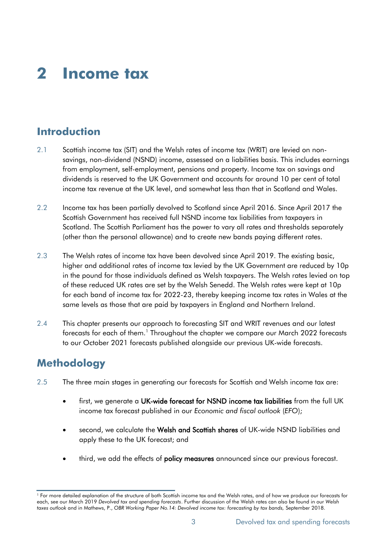# **2 Income tax**

# **Introduction**

- 2.1 Scottish income tax (SIT) and the Welsh rates of income tax (WRIT) are levied on nonsavings, non-dividend (NSND) income, assessed on a liabilities basis. This includes earnings from employment, self-employment, pensions and property. Income tax on savings and dividends is reserved to the UK Government and accounts for around 10 per cent of total income tax revenue at the UK level, and somewhat less than that in Scotland and Wales.
- 2.2 Income tax has been partially devolved to Scotland since April 2016. Since April 2017 the Scottish Government has received full NSND income tax liabilities from taxpayers in Scotland. The Scottish Parliament has the power to vary all rates and thresholds separately (other than the personal allowance) and to create new bands paying different rates.
- 2.3 The Welsh rates of income tax have been devolved since April 2019. The existing basic, higher and additional rates of income tax levied by the UK Government are reduced by 10p in the pound for those individuals defined as Welsh taxpayers. The Welsh rates levied on top of these reduced UK rates are set by the Welsh Senedd. The Welsh rates were kept at 10p for each band of income tax for 2022-23, thereby keeping income tax rates in Wales at the same levels as those that are paid by taxpayers in England and Northern Ireland.
- to our October 2021 forecasts published alongside our previous UK-wide forecasts. 2.4 This chapter presents our approach to forecasting SIT and WRIT revenues and our latest forecasts for each of them.<sup>1</sup> Throughout the chapter we compare our March 2022 forecasts

# **Methodology**

- 2.5 The three main stages in generating our forecasts for Scottish and Welsh income tax are:
	- first, we generate a UK-wide forecast for NSND income tax liabilities from the full UK income tax forecast published in our *Economic and fiscal outlook* (*EFO*);
	- second, we calculate the Welsh and Scottish shares of UK-wide NSND liabilities and apply these to the UK forecast; and
	- third, we add the effects of **policy measures** announced since our previous forecast.

<sup>&</sup>lt;sup>1</sup> For more detailed explanation of the structure of both Scottish income tax and the Welsh rates, and of how we produce our forecasts for each, see our March 2019 *Devolved tax and spending forecasts*. Further discussion of the Welsh rates can also be found in our *Welsh taxes outlook* and in Mathews, P., *OBR Working Paper No.14: Devolved income tax: forecasting by tax bands,* September 2018.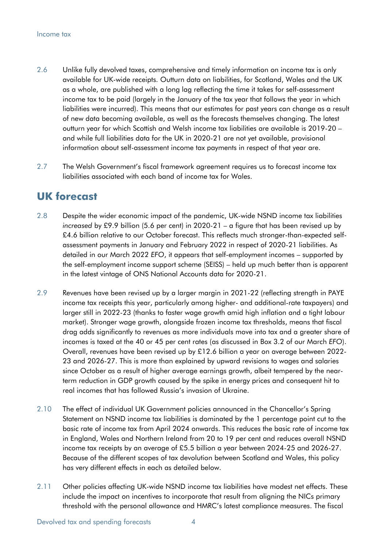- outturn year for which Scottish and Welsh income tax liabilities are available is 2019-20 2.6 Unlike fully devolved taxes, comprehensive and timely information on income tax is only available for UK-wide receipts. Outturn data on liabilities, for Scotland, Wales and the UK as a whole, are published with a long lag reflecting the time it takes for self-assessment income tax to be paid (largely in the January of the tax year that follows the year in which liabilities were incurred). This means that our estimates for past years can change as a result of new data becoming available, as well as the forecasts themselves changing. The latest and while full liabilities data for the UK in 2020-21 are not yet available, provisional information about self-assessment income tax payments in respect of that year are.
- 2.7 The Welsh Government's fiscal framework agreement requires us to forecast income tax liabilities associated with each band of income tax for Wales.

## **UK forecast**

- 2.8 Despite the wider economic impact of the pandemic, UK-wide NSND income tax liabilities *increased* by £9.9 billion (5.6 per cent) in 2020-21 – a figure that has been revised up by £4.6 billion relative to our October forecast. This reflects much stronger-than-expected selfassessment payments in January and February 2022 in respect of 2020-21 liabilities. As detailed in our March 2022 *EFO*, it appears that self-employment incomes – supported by the self-employment income support scheme (SEISS) – held up much better than is apparent in the latest vintage of ONS National Accounts data for 2020-21.
- real incomes that has followed Russia's invasion of Ukraine. 2.9 Revenues have been revised up by a larger margin in 2021-22 (reflecting strength in PAYE income tax receipts this year, particularly among higher- and additional-rate taxpayers) and larger still in 2022-23 (thanks to faster wage growth amid high inflation and a tight labour market). Stronger wage growth, alongside frozen income tax thresholds, means that fiscal drag adds significantly to revenues as more individuals move into tax and a greater share of incomes is taxed at the 40 or 45 per cent rates (as discussed in Box 3.2 of our March *EFO*). Overall, revenues have been revised up by £12.6 billion a year on average between 2022- 23 and 2026-27. This is more than explained by upward revisions to wages and salaries since October as a result of higher average earnings growth, albeit tempered by the nearterm reduction in GDP growth caused by the spike in energy prices and consequent hit to
- in England, Wales and Northern Ireland from 20 to 19 per cent and reduces overall NSND 2.10 The effect of individual UK Government policies announced in the Chancellor's Spring Statement on NSND income tax liabilities is dominated by the 1 percentage point cut to the basic rate of income tax from April 2024 onwards. This reduces the basic rate of income tax income tax receipts by an average of £5.5 billion a year between 2024-25 and 2026-27. Because of the different scopes of tax devolution between Scotland and Wales, this policy has very different effects in each as detailed below.
- 2.11 Other policies affecting UK-wide NSND income tax liabilities have modest net effects. These include the impact on incentives to incorporate that result from aligning the NICs primary threshold with the personal allowance and HMRC's latest compliance measures. The fiscal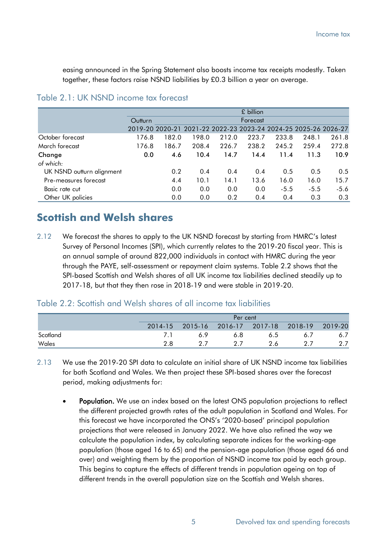easing announced in the Spring Statement also boosts income tax receipts modestly. Taken together, these factors raise NSND liabilities by £0.3 billion a year on average.

|                           |                |       |       |       | £ billion |                                                                 |        |        |
|---------------------------|----------------|-------|-------|-------|-----------|-----------------------------------------------------------------|--------|--------|
|                           | <b>Outturn</b> |       |       |       | Forecast  |                                                                 |        |        |
|                           |                |       |       |       |           | 2019-20 2020-21 2021-22 2022-23 2023-24 2024-25 2025-26 2026-27 |        |        |
| October forecast          | 176.8          | 182.0 | 198.0 | 212.0 | 223.7     | 233.8                                                           | 248.1  | 261.8  |
| March forecast            | 176.8          | 186.7 | 208.4 | 226.7 | 238.2     | 245.2                                                           | 259.4  | 272.8  |
| Change                    | 0.0            | 4.6   | 10.4  | 14.7  | 14.4      | 11.4                                                            | 11.3   | 10.9   |
| of which:                 |                |       |       |       |           |                                                                 |        |        |
| UK NSND outturn alignment |                | 0.2   | 0.4   | 0.4   | 0.4       | 0.5                                                             | 0.5    | 0.5    |
| Pre-measures forecast     |                | 4.4   | 10.1  | 14.1  | 13.6      | 16.0                                                            | 16.0   | 15.7   |
| Basic rate cut            |                | 0.0   | 0.0   | 0.0   | 0.0       | $-5.5$                                                          | $-5.5$ | $-5.6$ |
| Other UK policies         |                | 0.0   | 0.0   | 0.2   | 0.4       | 0.4                                                             | 0.3    | 0.3    |

#### Table 2.1: UK NSND income tax forecast

# **Scottish and Welsh shares**

2.12 We forecast the shares to apply to the UK NSND forecast by starting from HMRC's latest Survey of Personal Incomes (SPI), which currently relates to the 2019-20 fiscal year. This is an annual sample of around 822,000 individuals in contact with HMRC during the year through the PAYE, self-assessment or repayment claim systems. Table 2.2 shows that the SPI-based Scottish and Welsh shares of all UK income tax liabilities declined steadily up to 2017-18, but that they then rose in 2018-19 and were stable in 2019-20.

## Table 2.2: Scottish and Welsh shares of all income tax liabilities

|     |     |     |     |                                                                                | 2019-20                                 |
|-----|-----|-----|-----|--------------------------------------------------------------------------------|-----------------------------------------|
| 7.1 | 6.9 | 6.8 | 6.5 | 6.7                                                                            | 6.7                                     |
| 2.8 | 27  | 27  | 26  | 27                                                                             | 27                                      |
|     |     |     |     | Table 2.2: Scottish and Welsh shares of all income tax liabilities<br>Per cent | 2014-15 2015-16 2016-17 2017-18 2018-19 |

- 2.13 We use the 2019-20 SPI data to calculate an initial share of UK NSND income tax liabilities for both Scotland and Wales. We then project these SPI-based shares over the forecast period, making adjustments for:
	- **Population.** We use an index based on the latest ONS population projections to reflect the different projected growth rates of the adult population in Scotland and Wales. For this forecast we have incorporated the ONS's '2020-based' principal population projections that were released in January 2022. We have also refined the way we calculate the population index, by calculating separate indices for the working-age population (those aged 16 to 65) and the pension-age population (those aged 66 and over) and weighting them by the proportion of NSND income tax paid by each group. This begins to capture the effects of different trends in population ageing on top of different trends in the overall population size on the Scottish and Welsh shares.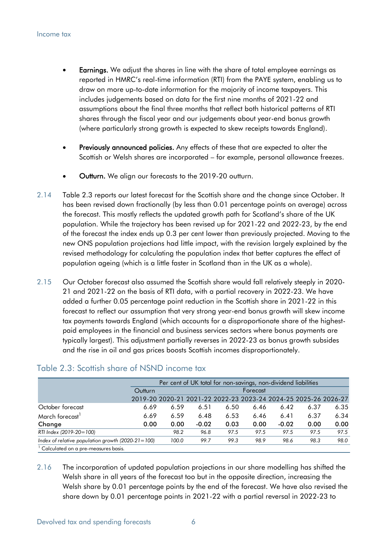- Earnings. We adjust the shares in line with the share of total employee earnings as reported in HMRC's real-time information (RTI) from the PAYE system, enabling us to draw on more up-to-date information for the majority of income taxpayers. This includes judgements based on data for the first nine months of 2021-22 and assumptions about the final three months that reflect both historical patterns of RTI shares through the fiscal year and our judgements about year-end bonus growth (where particularly strong growth is expected to skew receipts towards England).
- Previously announced policies. Any effects of these that are expected to alter the Scottish or Welsh shares are incorporated – for example, personal allowance freezes.
- Outturn. We align our forecasts to the 2019-20 outturn.
- 2.14 Table 2.3 reports our latest forecast for the Scottish share and the change since October. It has been revised down fractionally (by less than 0.01 percentage points on average) across the forecast. This mostly reflects the updated growth path for Scotland's share of the UK population. While the trajectory has been revised up for 2021-22 and 2022-23, by the end of the forecast the index ends up 0.3 per cent lower than previously projected. Moving to the new ONS population projections had little impact, with the revision largely explained by the revised methodology for calculating the population index that better captures the effect of population ageing (which is a little faster in Scotland than in the UK as a whole).
- 2.15 Our October forecast also assumed the Scottish share would fall relatively steeply in 2020- 21 and 2021-22 on the basis of RTI data, with a partial recovery in 2022-23. We have added a further 0.05 percentage point reduction in the Scottish share in 2021-22 in this forecast to reflect our assumption that very strong year-end bonus growth will skew income tax payments towards England (which accounts for a disproportionate share of the highestpaid employees in the financial and business services sectors where bonus payments are typically largest). This adjustment partially reverses in 2022-23 as bonus growth subsides and the rise in oil and gas prices boosts Scottish incomes disproportionately.

|                                                     |                |                                               |         |      |          | Per cent of UK total for non-savings, non-dividend liabilities |      |                                                                 |  |
|-----------------------------------------------------|----------------|-----------------------------------------------|---------|------|----------|----------------------------------------------------------------|------|-----------------------------------------------------------------|--|
|                                                     | <b>Outturn</b> |                                               |         |      | Forecast |                                                                |      |                                                                 |  |
|                                                     |                |                                               |         |      |          |                                                                |      | 2019-20 2020-21 2021-22 2022-23 2023-24 2024-25 2025-26 2026-27 |  |
| October forecast                                    | 6.69           | 6.59                                          | 6.51    | 6.50 | 6.46     | 6.42                                                           | 6.37 | 6.35                                                            |  |
| March forecast <sup>1</sup>                         | 6.69           | 6.59                                          | 6.48    | 6.53 | 6.46     | 6.41                                                           | 6.37 | 6.34                                                            |  |
| Change                                              | 0.00           | 0.00                                          | $-0.02$ | 0.03 | 0.00     | $-0.02$                                                        | 0.00 | 0.00                                                            |  |
| RTI Index (2019-20=100)                             |                | 98.2                                          | 96.8    | 97.5 | 97.5     | 97.5                                                           | 97.5 | 97.5                                                            |  |
| Index of relative population growth $(2020-21=100)$ |                | 100.0<br>99.3<br>98.9<br>98.6<br>99.7<br>98.3 |         |      |          |                                                                |      |                                                                 |  |
| <sup>1</sup> Calculated on a pre-measures basis.    |                |                                               |         |      |          |                                                                |      |                                                                 |  |

## Table 2.3: Scottish share of NSND income tax

2.16 The incorporation of updated population projections in our share modelling has shifted the Welsh share in all years of the forecast too but in the opposite direction, increasing the Welsh share by 0.01 percentage points by the end of the forecast. We have also revised the share down by 0.01 percentage points in 2021-22 with a partial reversal in 2022-23 to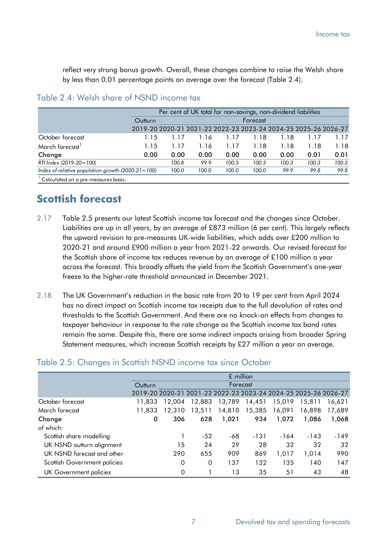reflect very strong bonus growth. Overall, these changes combine to raise the Welsh share by less than 0.01 percentage points on average over the forecast (Table 2.4).

|                                                     |                                                  |          |      |       |       | Per cent of UK total for non-savings, non-dividend liabilities  |       |       |
|-----------------------------------------------------|--------------------------------------------------|----------|------|-------|-------|-----------------------------------------------------------------|-------|-------|
|                                                     | Outturn                                          | Forecast |      |       |       |                                                                 |       |       |
|                                                     |                                                  |          |      |       |       | 2019-20 2020-21 2021-22 2022-23 2023-24 2024-25 2025-26 2026-27 |       |       |
| October forecast                                    | 1.15                                             | 1.17     | 1.16 | 1.17  | 1.18  | 1.18                                                            | 1.17  | 1.17  |
| March forecast <sup>1</sup>                         | 1.15                                             | 1.17     | 1.16 | 1.17  | 1.18  | 1.18                                                            | 1.18  | 1.18  |
| Change                                              | 0.00                                             | 0.00     | 0.00 | 0.00  | 0.00  | 0.00                                                            | 0.01  | 0.01  |
| RTI Index (2019-20=100)                             |                                                  | 100.8    | 99.9 | 100.3 | 100.3 | 100.3                                                           | 100.3 | 100.3 |
| Index of relative population growth $(2020-21=100)$ | 99.9<br>100.0<br>100.0<br>99.8<br>100.0<br>100.0 |          |      |       |       |                                                                 |       | 99.8  |
| Calculated on a pre-measures basis.                 |                                                  |          |      |       |       |                                                                 |       |       |

#### Table 2.4: Welsh share of NSND income tax

# **Scottish forecast**

- 2.17 Table 2.5 presents our latest Scottish income tax forecast and the changes since October. Liabilities are up in all years, by an average of £873 million (6 per cent). This largely reflects the upward revision to pre-measures UK-wide liabilities, which adds over £200 million to 2020-21 and around £900 million a year from 2021-22 onwards. Our revised forecast for the Scottish share of income tax reduces revenue by an average of £100 million a year across the forecast. This broadly offsets the yield from the Scottish Government's one-year freeze to the higher-rate threshold announced in December 2021.
- 2.18 The UK Government's reduction in the basic rate from 20 to 19 per cent from April 2024 has no direct impact on Scottish income tax receipts due to the full devolution of rates and thresholds to the Scottish Government. And there are no knock-on effects from changes to taxpayer behaviour in response to the rate change as the Scottish income tax band rates remain the same. Despite this, there are some indirect impacts arising from broader Spring Statement measures, which increase Scottish receipts by £27 million a year on average.

## Table 2.5: Changes in Scottish NSND income tax since October

|                              |         |          |                                                                 |        | £ million |        |        |        |
|------------------------------|---------|----------|-----------------------------------------------------------------|--------|-----------|--------|--------|--------|
|                              | Outturn | Forecast |                                                                 |        |           |        |        |        |
|                              |         |          | 2019-20 2020-21 2021-22 2022-23 2023-24 2024-25 2025-26 2026-27 |        |           |        |        |        |
| October forecast             | 11,833  | 12,004   | 12,883                                                          | 13,789 | 14,451    | 15,019 | 15,811 | 16.621 |
| March forecast               | 11,833  | 12,310   | 13,511                                                          | 14,810 | 15,385    | 16,091 | 16,898 | 17.689 |
| Change                       | 0       | 306      | 628                                                             | 1,021  | 934       | 1,072  | 1.086  | 1,068  |
| of which:                    |         |          |                                                                 |        |           |        |        |        |
| Scottish share modelling     |         |          | $-52$                                                           | -68    | $-131$    | $-164$ | $-143$ | $-149$ |
| UK NSND outturn alignment    |         | 15       | 24                                                              | 29     | 28        | 32     | 32     | 32     |
| UK NSND forecast and other   |         | 290      | 655                                                             | 909    | 869       | 1.017  | 1.014  | 990    |
| Scottish Government policies |         | 0        | $\Omega$                                                        | 137    | 132       | 135    | 140    | 147    |
| UK Government policies       |         | 0        |                                                                 | 13     | 35        | 51     | 43     | 48     |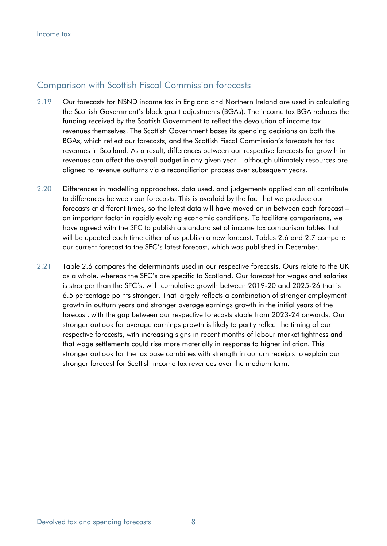## Comparison with Scottish Fiscal Commission forecasts

- 2.19 Our forecasts for NSND income tax in England and Northern Ireland are used in calculating the Scottish Government's block grant adjustments (BGAs). The income tax BGA reduces the funding received by the Scottish Government to reflect the devolution of income tax revenues themselves. The Scottish Government bases its spending decisions on both the BGAs, which reflect our forecasts, and the Scottish Fiscal Commission's forecasts for tax revenues in Scotland. As a result, differences between our respective forecasts for growth in revenues can affect the overall budget in any given year – although ultimately resources are aligned to revenue outturns via a reconciliation process over subsequent years.
- 2.20 Differences in modelling approaches, data used, and judgements applied can all contribute to differences between our forecasts. This is overlaid by the fact that we produce our forecasts at different times, so the latest data will have moved on in between each forecast – an important factor in rapidly evolving economic conditions. To facilitate comparisons, we have agreed with the SFC to publish a standard set of income tax comparison tables that will be updated each time either of us publish a new forecast. Tables 2.6 and 2.7 compare our current forecast to the SFC's latest forecast, which was published in December.
- 2.21 Table 2.6 compares the determinants used in our respective forecasts. Ours relate to the UK as a whole, whereas the SFC's are specific to Scotland. Our forecast for wages and salaries is stronger than the SFC's, with cumulative growth between 2019-20 and 2025-26 that is 6.5 percentage points stronger. That largely reflects a combination of stronger employment growth in outturn years and stronger average earnings growth in the initial years of the forecast, with the gap between our respective forecasts stable from 2023-24 onwards. Our stronger outlook for average earnings growth is likely to partly reflect the timing of our respective forecasts, with increasing signs in recent months of labour market tightness and that wage settlements could rise more materially in response to higher inflation. This stronger outlook for the tax base combines with strength in outturn receipts to explain our stronger forecast for Scottish income tax revenues over the medium term.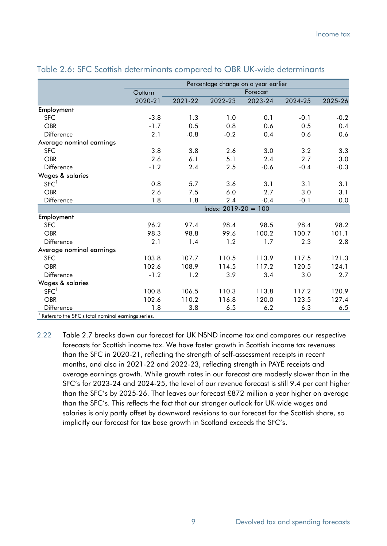|                                                                  |         |         | Percentage change on a year earlier |          |         |         |
|------------------------------------------------------------------|---------|---------|-------------------------------------|----------|---------|---------|
|                                                                  | Outturn |         |                                     | Forecast |         |         |
|                                                                  | 2020-21 | 2021-22 | 2022-23                             | 2023-24  | 2024-25 | 2025-26 |
| Employment                                                       |         |         |                                     |          |         |         |
| <b>SFC</b>                                                       | $-3.8$  | 1.3     | 1.0                                 | 0.1      | $-0.1$  | $-0.2$  |
| <b>OBR</b>                                                       | $-1.7$  | 0.5     | 0.8                                 | 0.6      | 0.5     | 0.4     |
| Difference                                                       | 2.1     | $-0.8$  | $-0.2$                              | 0.4      | 0.6     | 0.6     |
| Average nominal earnings                                         |         |         |                                     |          |         |         |
| <b>SFC</b>                                                       | 3.8     | 3.8     | 2.6                                 | 3.0      | 3.2     | 3.3     |
| <b>OBR</b>                                                       | 2.6     | 6.1     | 5.1                                 | 2.4      | 2.7     | 3.0     |
| Difference                                                       | $-1.2$  | 2.4     | 2.5                                 | $-0.6$   | $-0.4$  | $-0.3$  |
| <b>Wages &amp; salaries</b>                                      |         |         |                                     |          |         |         |
| SFC <sup>1</sup>                                                 | 0.8     | 5.7     | 3.6                                 | 3.1      | 3.1     | 3.1     |
| <b>OBR</b>                                                       | 2.6     | 7.5     | 6.0                                 | 2.7      | 3.0     | 3.1     |
| Difference                                                       | 1.8     | 1.8     | 2.4                                 | $-0.4$   | $-0.1$  | 0.0     |
|                                                                  |         |         | Index: $2019-20 = 100$              |          |         |         |
| Employment                                                       |         |         |                                     |          |         |         |
| <b>SFC</b>                                                       | 96.2    | 97.4    | 98.4                                | 98.5     | 98.4    | 98.2    |
| <b>OBR</b>                                                       | 98.3    | 98.8    | 99.6                                | 100.2    | 100.7   | 101.1   |
| <b>Difference</b>                                                | 2.1     | 1.4     | 1.2                                 | 1.7      | 2.3     | 2.8     |
| Average nominal earnings                                         |         |         |                                     |          |         |         |
| <b>SFC</b>                                                       | 103.8   | 107.7   | 110.5                               | 113.9    | 117.5   | 121.3   |
| <b>OBR</b>                                                       | 102.6   | 108.9   | 114.5                               | 117.2    | 120.5   | 124.1   |
| Difference                                                       | $-1.2$  | 1.2     | 3.9                                 | 3.4      | 3.0     | 2.7     |
| <b>Wages &amp; salaries</b>                                      |         |         |                                     |          |         |         |
| SFC <sup>1</sup>                                                 | 100.8   | 106.5   | 110.3                               | 113.8    | 117.2   | 120.9   |
| <b>OBR</b>                                                       | 102.6   | 110.2   | 116.8                               | 120.0    | 123.5   | 127.4   |
| Difference                                                       | 1.8     | 3.8     | 6.5                                 | 6.2      | 6.3     | 6.5     |
| $\frac{1}{1}$ Refers to the SFC's total nominal earnings series. |         |         |                                     |          |         |         |

#### Table 2.6: SFC Scottish determinants compared to OBR UK-wide determinants

2.22 Table 2.7 breaks down our forecast for UK NSND income tax and compares our respective forecasts for Scottish income tax. We have faster growth in Scottish income tax revenues than the SFC in 2020-21, reflecting the strength of self-assessment receipts in recent months, and also in 2021-22 and 2022-23, reflecting strength in PAYE receipts and average earnings growth. While growth rates in our forecast are modestly slower than in the SFC's for 2023-24 and 2024-25, the level of our revenue forecast is still 9.4 per cent higher than the SFC's by 2025-26. That leaves our forecast £872 million a year higher on average than the SFC's. This reflects the fact that our stronger outlook for UK-wide wages and salaries is only partly offset by downward revisions to our forecast for the Scottish share, so

implicitly our forecast for tax base growth in Scotland exceeds the SFC's.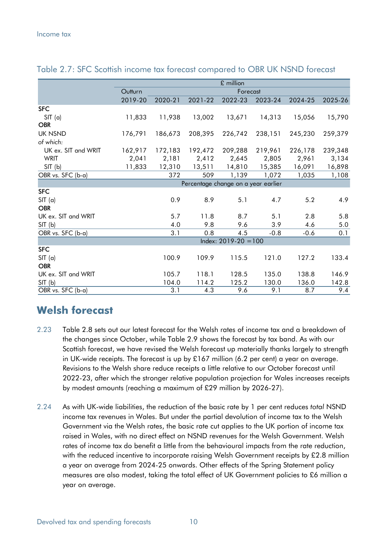|                     |         |         |         | £ million                           |         |         |         |
|---------------------|---------|---------|---------|-------------------------------------|---------|---------|---------|
|                     | Outturn |         |         | Forecast                            |         |         |         |
|                     | 2019-20 | 2020-21 | 2021-22 | 2022-23                             | 2023-24 | 2024-25 | 2025-26 |
| <b>SFC</b>          |         |         |         |                                     |         |         |         |
| SIT(a)              | 11,833  | 11,938  | 13,002  | 13,671                              | 14,313  | 15,056  | 15,790  |
| <b>OBR</b>          |         |         |         |                                     |         |         |         |
| UK NSND             | 176,791 | 186,673 | 208,395 | 226,742                             | 238,151 | 245,230 | 259,379 |
| of which:           |         |         |         |                                     |         |         |         |
| UK ex. SIT and WRIT | 162,917 | 172,183 | 192,472 | 209,288                             | 219,961 | 226,178 | 239,348 |
| WRIT                | 2,041   | 2,181   | 2,412   | 2,645                               | 2,805   | 2,961   | 3,134   |
| SIT(b)              | 11,833  | 12,310  |         | 13,511  14,810  15,385              |         | 16,091  | 16,898  |
| OBR vs. SFC (b-a)   |         | 372     | 509     | 1,139                               | 1,072   | 1,035   | 1,108   |
|                     |         |         |         | Percentage change on a year earlier |         |         |         |
| <b>SFC</b>          |         |         |         |                                     |         |         |         |
| SIT(a)              |         | 0.9     | 8.9     | 5.1                                 | 4.7     | 5.2     | 4.9     |
| <b>OBR</b>          |         |         |         |                                     |         |         |         |
| UK ex. SIT and WRIT |         | 5.7     | 11.8    | 8.7                                 | 5.1     | 2.8     | 5.8     |
| SIT(b)              |         | 4.0     | 9.8     | 9.6                                 | 3.9     | 4.6     | 5.0     |
| OBR vs. SFC (b-a)   |         | 3.1     | 0.8     | 4.5                                 | $-0.8$  | $-0.6$  | 0.1     |
|                     |         |         |         | $Index: 2019-20 = 100$              |         |         |         |
| <b>SFC</b>          |         |         |         |                                     |         |         |         |
| SIT(a)              |         | 100.9   | 109.9   | 115.5                               | 121.0   | 127.2   | 133.4   |
| <b>OBR</b>          |         |         |         |                                     |         |         |         |
| UK ex. SIT and WRIT |         | 105.7   | 118.1   | 128.5                               | 135.0   | 138.8   | 146.9   |
| SIT(b)              |         | 104.0   | 114.2   | 125.2                               | 130.0   | 136.0   | 142.8   |
| OBR vs. SFC (b-a)   |         | 3.1     | 4.3     | 9.6                                 | 9.1     | 8.7     | 9.4     |

#### Table 2.7: SFC Scottish income tax forecast compared to OBR UK NSND forecast

# **Welsh forecast**

- 2.23 Table 2.8 sets out our latest forecast for the Welsh rates of income tax and a breakdown of the changes since October, while Table 2.9 shows the forecast by tax band. As with our Scottish forecast, we have revised the Welsh forecast up materially thanks largely to strength in UK-wide receipts. The forecast is up by £167 million (6.2 per cent) a year on average. Revisions to the Welsh share reduce receipts a little relative to our October forecast until 2022-23, after which the stronger relative population projection for Wales increases receipts by modest amounts (reaching a maximum of £29 million by 2026-27).
- income tax revenues in Wales. But under the partial devolution of income tax to the Welsh Government via the Welsh rates, the basic rate cut applies to the UK portion of income tax 2.24 As with UK-wide liabilities, the reduction of the basic rate by 1 per cent reduces *total* NSND raised in Wales, with no direct effect on NSND revenues for the Welsh Government. Welsh rates of income tax do benefit a little from the behavioural impacts from the rate reduction, with the reduced incentive to incorporate raising Welsh Government receipts by £2.8 million a year on average from 2024-25 onwards. Other effects of the Spring Statement policy measures are also modest, taking the total effect of UK Government policies to £6 million a year on average.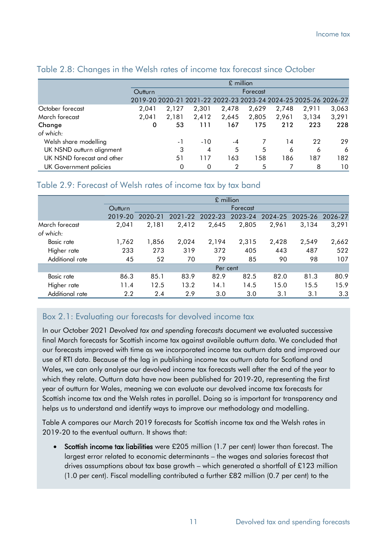|                               |         |       |                                                                 |       | $£$ million |       |       |       |
|-------------------------------|---------|-------|-----------------------------------------------------------------|-------|-------------|-------|-------|-------|
|                               | Outturn |       |                                                                 |       | Forecast    |       |       |       |
|                               |         |       | 2019-20 2020-21 2021-22 2022-23 2023-24 2024-25 2025-26 2026-27 |       |             |       |       |       |
| October forecast              | 2,041   | 2,127 | 2,301                                                           | 2,478 | 2,629       | 2,748 | 2,911 | 3,063 |
| March forecast                | 2.041   | 2,181 | 2,412                                                           | 2,645 | 2,805       | 2,961 | 3,134 | 3,291 |
| Change                        | 0       | 53    | 111                                                             | 167   | 175         | 212   | 223   | 228   |
| of which:                     |         |       |                                                                 |       |             |       |       |       |
| Welsh share modelling         |         | - 1   | $-10$                                                           | -4    |             | 14    | 22    | 29    |
| UK NSND outturn alignment     |         | З     | 4                                                               | 5     | 5           | 6     | 6     | 6     |
| UK NSND forecast and other    |         | 51    | 117                                                             | 163   | 158         | 186   | 187   | 182   |
| <b>UK Government policies</b> |         | 0     | 0                                                               | າ     | 5           |       | 8     | 10    |

#### Table 2.8: Changes in the Welsh rates of income tax forecast since October

## Table 2.9: Forecast of Welsh rates of income tax by tax band

|                 |         |         |         | £ million |          |         |         |         |
|-----------------|---------|---------|---------|-----------|----------|---------|---------|---------|
|                 | Outturn |         |         |           | Forecast |         |         |         |
|                 | 2019-20 | 2020-21 | 2021-22 | 2022-23   | 2023-24  | 2024-25 | 2025-26 | 2026-27 |
| March forecast  | 2,041   | 2,181   | 2,412   | 2,645     | 2,805    | 2,961   | 3,134   | 3,291   |
| of which:       |         |         |         |           |          |         |         |         |
| Basic rate      | 1,762   | 1,856   | 2,024   | 2,194     | 2,315    | 2,428   | 2,549   | 2,662   |
| Higher rate     | 233     | 273     | 319     | 372       | 405      | 443     | 487     | 522     |
| Additional rate | 45      | 52      | 70      | 79        | 85       | 90      | 98      | 107     |
|                 |         |         |         | Per cent  |          |         |         |         |
| Basic rate      | 86.3    | 85.1    | 83.9    | 82.9      | 82.5     | 82.0    | 81.3    | 80.9    |
| Higher rate     | 11.4    | 12.5    | 13.2    | 14.1      | 14.5     | 15.0    | 15.5    | 15.9    |
| Additional rate | 2.2     | 2.4     | 2.9     | 3.0       | 3.0      | 3.1     | 3.1     | 3.3     |

## Box 2.1: Evaluating our forecasts for devolved income tax

In our October 2021 *Devolved tax and spending forecasts* document we evaluated successive final March forecasts for Scottish income tax against available outturn data. We concluded that our forecasts improved with time as we incorporated income tax outturn data and improved our use of RTI data. Because of the lag in publishing income tax outturn data for Scotland and Wales, we can only analyse our devolved income tax forecasts well after the end of the year to which they relate. Outturn data have now been published for 2019-20, representing the first year of outturn for Wales, meaning we can evaluate our devolved income tax forecasts for Scottish income tax and the Welsh rates in parallel. Doing so is important for transparency and helps us to understand and identify ways to improve our methodology and modelling.

Table A compares our March 2019 forecasts for Scottish income tax and the Welsh rates in 2019-20 to the eventual outturn. It shows that:

• Scottish income tax liabilities were £205 million (1.7 per cent) lower than forecast. The largest error related to economic determinants – the wages and salaries forecast that drives assumptions about tax base growth – which generated a shortfall of £123 million (1.0 per cent). Fiscal modelling contributed a further £82 million (0.7 per cent) to the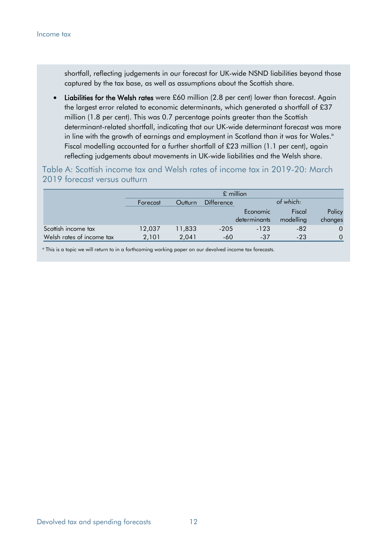shortfall, reflecting judgements in our forecast for UK-wide NSND liabilities beyond those captured by the tax base, as well as assumptions about the Scottish share.

• Liabilities for the Welsh rates were £60 million (2.8 per cent) lower than forecast. Again the largest error related to economic determinants, which generated a shortfall of £37 million (1.8 per cent). This was 0.7 percentage points greater than the Scottish determinant-related shortfall, indicating that our UK-wide determinant forecast was more in line with the growth of earnings and employment in Scotland than it was for Wales.<sup>a</sup> Fiscal modelling accounted for a further shortfall of £23 million (1.1 per cent), again reflecting judgements about movements in UK-wide liabilities and the Welsh share.

Table A: Scottish income tax and Welsh rates of income tax in 2019-20: March 2019 forecast versus outturn

|                           |          | $£$ million                               |        |              |           |          |  |  |  |  |  |
|---------------------------|----------|-------------------------------------------|--------|--------------|-----------|----------|--|--|--|--|--|
|                           | Forecast | of which:<br><b>Difference</b><br>Outturn |        |              |           |          |  |  |  |  |  |
|                           |          |                                           |        | Economic     | Fiscal    | Policy   |  |  |  |  |  |
|                           |          |                                           |        | determinants | modelling | changes  |  |  |  |  |  |
| Scottish income tax       | 12,037   | 11,833                                    | $-205$ | $-123$       | -82       | 0        |  |  |  |  |  |
| Welsh rates of income tax | 2,101    | 2,041                                     | $-60$  | -37          | $-23$     | $\Omega$ |  |  |  |  |  |
|                           |          |                                           |        |              |           |          |  |  |  |  |  |

a This is a topic we will return to in a forthcoming working paper on our devolved income tax forecasts.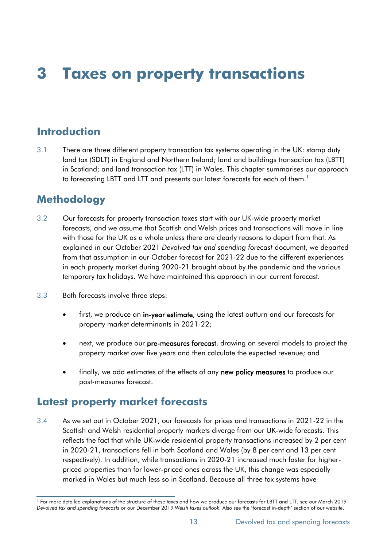# **3 Taxes on property transactions**

# **Introduction**

3.1 There are three different property transaction tax systems operating in the UK: stamp duty land tax (SDLT) in England and Northern Ireland; land and buildings transaction tax (LBTT) in Scotland; and land transaction tax (LTT) in Wales. This chapter summarises our approach to forecasting LBTT and LTT and presents our latest forecasts for each of them. 1

# **Methodology**

- 3.2 Our forecasts for property transaction taxes start with our UK-wide property market forecasts, and we assume that Scottish and Welsh prices and transactions will move in line with those for the UK as a whole unless there are clearly reasons to depart from that. As explained in our October 2021 *Devolved tax and spending forecast* document, we departed from that assumption in our October forecast for 2021-22 due to the different experiences in each property market during 2020-21 brought about by the pandemic and the various temporary tax holidays. We have maintained this approach in our current forecast.
- 3.3 Both forecasts involve three steps:
	- first, we produce an in-year estimate, using the latest outturn and our forecasts for property market determinants in 2021-22;
	- next, we produce our pre-measures forecast, drawing on several models to project the property market over five years and then calculate the expected revenue; and
	- finally, we add estimates of the effects of any new policy measures to produce our post-measures forecast.

# **Latest property market forecasts**

3.4 As we set out in October 2021, our forecasts for prices and transactions in 2021-22 in the Scottish and Welsh residential property markets diverge from our UK-wide forecasts. This reflects the fact that while UK-wide residential property transactions increased by 2 per cent in 2020-21, transactions fell in both Scotland and Wales (by 8 per cent and 13 per cent respectively). In addition, while transactions in 2020-21 increased much faster for higherpriced properties than for lower-priced ones across the UK, this change was especially marked in Wales but much less so in Scotland. Because all three tax systems have

<sup>&</sup>lt;sup>1</sup> For more detailed explanations of the structure of these taxes and how we produce our forecasts for LBTT and LTT, see our March 2019 *Devolved tax and spending forecasts* or our December 2019 *Welsh taxes outlook.* Also see the 'forecast in-depth' section of our website.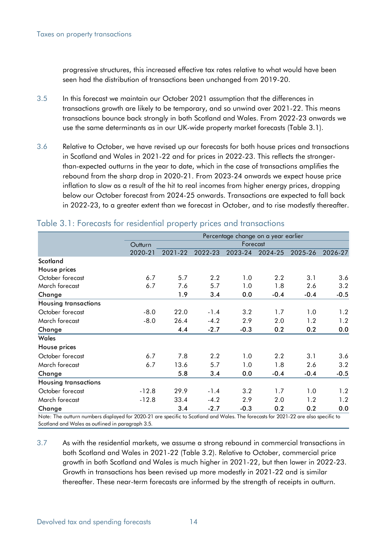progressive structures, this increased effective tax rates relative to what would have been seen had the distribution of transactions been unchanged from 2019-20.

- 3.5 In this forecast we maintain our October 2021 assumption that the differences in transactions growth are likely to be temporary, and so unwind over 2021-22. This means transactions bounce back strongly in both Scotland and Wales. From 2022-23 onwards we use the same determinants as in our UK-wide property market forecasts (Table 3.1).
- 3.6 Relative to October, we have revised up our forecasts for both house prices and transactions in Scotland and Wales in 2021-22 and for prices in 2022-23. This reflects the strongerthan-expected outturns in the year to date, which in the case of transactions amplifies the rebound from the sharp drop in 2020-21. From 2023-24 onwards we expect house price inflation to slow as a result of the hit to real incomes from higher energy prices, dropping below our October forecast from 2024-25 onwards. Transactions are expected to fall back in 2022-23, to a greater extent than we forecast in October, and to rise modestly thereafter.

|                                                                                                                                    |         |         |         | Percentage change on a year earlier |         |         |         |
|------------------------------------------------------------------------------------------------------------------------------------|---------|---------|---------|-------------------------------------|---------|---------|---------|
|                                                                                                                                    | Outturn |         |         | Forecast                            |         |         |         |
|                                                                                                                                    | 2020-21 | 2021-22 | 2022-23 | 2023-24                             | 2024-25 | 2025-26 | 2026-27 |
| Scotland                                                                                                                           |         |         |         |                                     |         |         |         |
| House prices                                                                                                                       |         |         |         |                                     |         |         |         |
| October forecast                                                                                                                   | 6.7     | 5.7     | 2.2     | 1.0                                 | 2.2     | 3.1     | 3.6     |
| March forecast                                                                                                                     | 6.7     | 7.6     | 5.7     | 1.0                                 | 1.8     | 2.6     | 3.2     |
| Change                                                                                                                             |         | 1.9     | 3.4     | 0.0                                 | $-0.4$  | $-0.4$  | $-0.5$  |
| <b>Housing transactions</b>                                                                                                        |         |         |         |                                     |         |         |         |
| October forecast                                                                                                                   | $-8.0$  | 22.0    | $-1.4$  | 3.2                                 | 1.7     | 1.0     | 1.2     |
| March forecast                                                                                                                     | $-8.0$  | 26.4    | $-4.2$  | 2.9                                 | 2.0     | 1.2     | 1.2     |
| Change                                                                                                                             |         | 4.4     | $-2.7$  | $-0.3$                              | 0.2     | 0.2     | 0.0     |
| <b>Wales</b>                                                                                                                       |         |         |         |                                     |         |         |         |
| House prices                                                                                                                       |         |         |         |                                     |         |         |         |
| October forecast                                                                                                                   | 6.7     | 7.8     | 2.2     | 1.0                                 | 2.2     | 3.1     | 3.6     |
| March forecast                                                                                                                     | 6.7     | 13.6    | 5.7     | 1.0                                 | 1.8     | 2.6     | 3.2     |
| Change                                                                                                                             |         | 5.8     | 3.4     | 0.0                                 | $-0.4$  | $-0.4$  | $-0.5$  |
| <b>Housing transactions</b>                                                                                                        |         |         |         |                                     |         |         |         |
| October forecast                                                                                                                   | $-12.8$ | 29.9    | $-1.4$  | 3.2                                 | 1.7     | 1.0     | 1.2     |
| March forecast                                                                                                                     | $-12.8$ | 33.4    | $-4.2$  | 2.9                                 | 2.0     | 1.2     | 1.2     |
| Change                                                                                                                             |         | 3.4     | $-2.7$  | $-0.3$                              | 0.2     | 0.2     | 0.0     |
| Note: The outturn numbers displayed for 2020-21 are specific to Scotland and Wales. The forecasts for 2021-22 are also specific to |         |         |         |                                     |         |         |         |

## Table 3.1: Forecasts for residential property prices and transactions

Scotland and Wales as outlined in paragraph 3.5.

3.7 As with the residential markets, we assume a strong rebound in commercial transactions in both Scotland and Wales in 2021-22 (Table 3.2). Relative to October, commercial price growth in both Scotland and Wales is much higher in 2021-22, but then lower in 2022-23. Growth in transactions has been revised up more modestly in 2021-22 and is similar thereafter. These near-term forecasts are informed by the strength of receipts in outturn.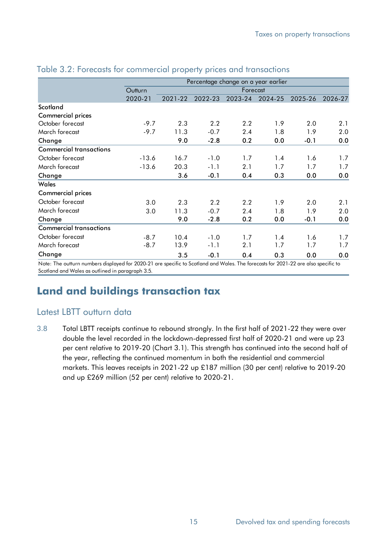|                                |         |         |         | Percentage change on a year earlier |         |         |         |
|--------------------------------|---------|---------|---------|-------------------------------------|---------|---------|---------|
|                                | Outturn |         |         | Forecast                            |         |         |         |
|                                | 2020-21 | 2021-22 | 2022-23 | 2023-24                             | 2024-25 | 2025-26 | 2026-27 |
| Scotland                       |         |         |         |                                     |         |         |         |
| Commercial prices              |         |         |         |                                     |         |         |         |
| October forecast               | $-9.7$  | 2.3     | 2.2     | 2.2                                 | 1.9     | 2.0     | 2.1     |
| March forecast                 | $-9.7$  | 11.3    | $-0.7$  | 2.4                                 | 1.8     | 1.9     | 2.0     |
| Change                         |         | 9.0     | $-2.8$  | 0.2                                 | 0.0     | $-0.1$  | 0.0     |
| <b>Commercial transactions</b> |         |         |         |                                     |         |         |         |
| October forecast               | $-13.6$ | 16.7    | $-1.0$  | 1.7                                 | 1.4     | 1.6     | 1.7     |
| March forecast                 | $-13.6$ | 20.3    | $-1.1$  | 2.1                                 | 1.7     | 1.7     | 1.7     |
| Change                         |         | 3.6     | $-0.1$  | 0.4                                 | 0.3     | 0.0     | 0.0     |
| Wales                          |         |         |         |                                     |         |         |         |
| <b>Commercial prices</b>       |         |         |         |                                     |         |         |         |
| October forecast               | 3.0     | 2.3     | 2.2     | 2.2                                 | 1.9     | 2.0     | 2.1     |
| March forecast                 | 3.0     | 11.3    | $-0.7$  | 2.4                                 | 1.8     | 1.9     | 2.0     |
| Change                         |         | 9.0     | $-2.8$  | 0.2                                 | 0.0     | $-0.1$  | 0.0     |
| <b>Commercial transactions</b> |         |         |         |                                     |         |         |         |
| October forecast               | $-8.7$  | 10.4    | $-1.0$  | 1.7                                 | 1.4     | 1.6     | 1.7     |
| March forecast                 | $-8.7$  | 13.9    | $-1.1$  | 2.1                                 | 1.7     | 1.7     | 1.7     |
| Change                         |         | 3.5     | $-0.1$  | 0.4                                 | 0.3     | 0.0     | 0.0     |

## Table 3.2: Forecasts for commercial property prices and transactions

Scotland and Wales. The forecasts for 2021-22 are also specific to Scotland and Wales as outlined in paragraph 3.5.

# **Land and buildings transaction tax**

## Latest LBTT outturn data

3.8 Total LBTT receipts continue to rebound strongly. In the first half of 2021-22 they were over double the level recorded in the lockdown-depressed first half of 2020-21 and were up 23 per cent relative to 2019-20 (Chart 3.1). This strength has continued into the second half of the year, reflecting the continued momentum in both the residential and commercial markets. This leaves receipts in 2021-22 up £187 million (30 per cent) relative to 2019-20 and up £269 million (52 per cent) relative to 2020-21.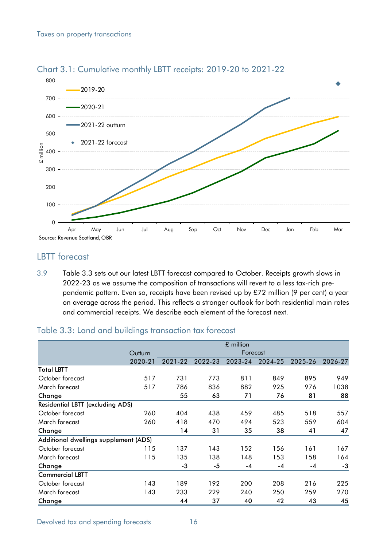

## Chart 3.1: Cumulative monthly LBTT receipts: 2019-20 to 2021-22

## LBTT forecast

3.9 Table 3.3 sets out our latest LBTT forecast compared to October. Receipts growth slows in 2022-23 as we assume the composition of transactions will revert to a less tax-rich prepandemic pattern. Even so, receipts have been revised up by £72 million (9 per cent) a year on average across the period. This reflects a stronger outlook for both residential main rates and commercial receipts. We describe each element of the forecast next.

## Table 3.3: Land and buildings transaction tax forecast

|                                         |         |         |         | £ million |         |         |         |
|-----------------------------------------|---------|---------|---------|-----------|---------|---------|---------|
|                                         | Outturn |         |         | Forecast  |         |         |         |
|                                         | 2020-21 | 2021-22 | 2022-23 | 2023-24   | 2024-25 | 2025-26 | 2026-27 |
| <b>Total LBTT</b>                       |         |         |         |           |         |         |         |
| October forecast                        | 517     | 731     | 773     | 811       | 849     | 895     | 949     |
| March forecast                          | 517     | 786     | 836     | 882       | 925     | 976     | 1038    |
| Change                                  |         | 55      | 63      | 71        | 76      | 81      | 88      |
| <b>Residential LBTT (excluding ADS)</b> |         |         |         |           |         |         |         |
| October forecast                        | 260     | 404     | 438     | 459       | 485     | 518     | 557     |
| March forecast                          | 260     | 418     | 470     | 494       | 523     | 559     | 604     |
| Change                                  |         | 14      | 31      | 35        | 38      | 41      | 47      |
| Additional dwellings supplement (ADS)   |         |         |         |           |         |         |         |
| October forecast                        | 115     | 137     | 143     | 152       | 156     | 161     | 167     |
| March forecast                          | 115     | 135     | 138     | 148       | 153     | 158     | 164     |
| Change                                  |         | -3      | -5      | -4        | -4      | -4      | $-3$    |
| <b>Commercial LBTT</b>                  |         |         |         |           |         |         |         |
| October forecast                        | 143     | 189     | 192     | 200       | 208     | 216     | 225     |
| March forecast                          | 143     | 233     | 229     | 240       | 250     | 259     | 270     |
| Change                                  |         | 44      | 37      | 40        | 42      | 43      | 45      |
|                                         |         |         |         |           |         |         |         |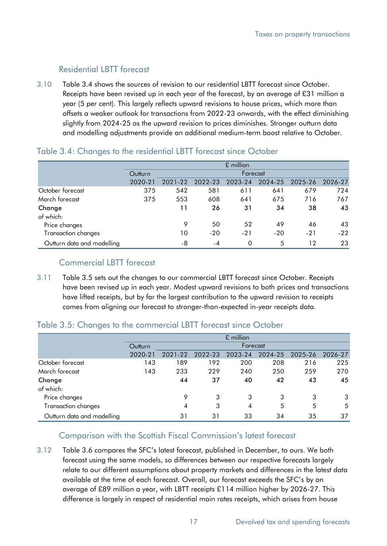## Residential LBTT forecast

 offsets a weaker outlook for transactions from 2022-23 onwards, with the effect diminishing 3.10 Table 3.4 shows the sources of revision to our residential LBTT forecast since October. Receipts have been revised up in each year of the forecast, by an average of £31 million a year (5 per cent). This largely reflects upward revisions to house prices, which more than slightly from 2024-25 as the upward revision to prices diminishes. Stronger outturn data and modelling adjustments provide an additional medium-term boost relative to October.

|                            |         |             |         | £ million |         |         |         |
|----------------------------|---------|-------------|---------|-----------|---------|---------|---------|
|                            | Outturn |             |         | Forecast  |         |         |         |
|                            | 2020-21 | $2021 - 22$ | 2022-23 | 2023-24   | 2024-25 | 2025-26 | 2026-27 |
| October forecast           | 375     | 542         | 581     | 611       | 641     | 679     | 724     |
| March forecast             | 375     | 553         | 608     | 641       | 675     | 716     | 767     |
| Change                     |         | 11          | 26      | 31        | 34      | 38      | 43      |
| of which:                  |         |             |         |           |         |         |         |
| Price changes              |         | 9           | 50      | 52        | 49      | 46      | 43      |
| <b>Transaction changes</b> |         | 10          | $-20$   | $-21$     | $-20$   | $-21$   | $-22$   |
| Outturn data and modelling |         | -8          | $-4$    | $\Omega$  | 5       | 12      | 23      |

## Table 3.4: Changes to the residential LBTT forecast since October `

## Commercial LBTT forecast

3.11 Table 3.5 sets out the changes to our commercial LBTT forecast since October. Receipts have been revised up in each year. Modest upward revisions to both prices and transactions have lifted receipts, but by far the largest contribution to the upward revision to receipts comes from aligning our forecast to stronger-than-expected in-year receipts data.

## Table 3.5: Changes to the commercial LBTT forecast since October

|                            |         |             |         | £ million |          |         |         |
|----------------------------|---------|-------------|---------|-----------|----------|---------|---------|
|                            | Outturn |             |         |           | Forecast |         |         |
|                            | 2020-21 | $2021 - 22$ | 2022-23 | 2023-24   | 2024-25  | 2025-26 | 2026-27 |
| October forecast           | 143     | 189         | 192     | 200       | 208      | 216     | 225     |
| March forecast             | 143     | 233         | 229     | 240       | 250      | 259     | 270     |
| Change                     |         | 44          | 37      | 40        | 42       | 43      | 45      |
| of which:                  |         |             |         |           |          |         |         |
| Price changes              |         | 9           | 3       | 3         | 3        | 3       | 3       |
| <b>Transaction changes</b> |         | 4           | 3       | 4         | 5        | 5       | 5       |
| Outturn data and modelling |         | 31          | 31      | 33        | 34       | 35      | 37      |
|                            |         |             |         |           |          |         |         |

## Comparison with the Scottish Fiscal Commission's latest forecast

3.12 Table 3.6 compares the SFC's latest forecast, published in December, to ours. We both forecast using the same models, so differences between our respective forecasts largely relate to our different assumptions about property markets and differences in the latest data available at the time of each forecast. Overall, our forecast exceeds the SFC's by an average of £89 million a year, with LBTT receipts £114 million higher by 2026-27. This difference is largely in respect of residential main rates receipts, which arises from house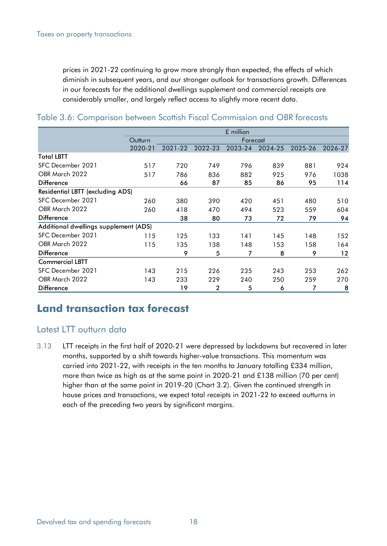prices in 2021-22 continuing to grow more strongly than expected, the effects of which diminish in subsequent years, and our stronger outlook for transactions growth. Differences in our forecasts for the additional dwellings supplement and commercial receipts are considerably smaller, and largely reflect access to slightly more recent data.

|                                         |         |         |              | £ million |         |         |         |
|-----------------------------------------|---------|---------|--------------|-----------|---------|---------|---------|
|                                         | Outturn |         |              | Forecast  |         |         |         |
|                                         | 2020-21 | 2021-22 | 2022-23      | 2023-24   | 2024-25 | 2025-26 | 2026-27 |
| <b>Total LBTT</b>                       |         |         |              |           |         |         |         |
| SFC December 2021                       | 517     | 720     | 749          | 796       | 839     | 881     | 924     |
| OBR March 2022                          | 517     | 786     | 836          | 882       | 925     | 976     | 1038    |
| <b>Difference</b>                       |         | 66      | 87           | 85        | 86      | 95      | 114     |
| <b>Residential LBTT (excluding ADS)</b> |         |         |              |           |         |         |         |
| SFC December 2021                       | 260     | 380     | 390          | 420       | 451     | 480     | 510     |
| OBR March 2022                          | 260     | 418     | 470          | 494       | 523     | 559     | 604     |
| <b>Difference</b>                       |         | 38      | 80           | 73        | 72      | 79      | 94      |
| Additional dwellings supplement (ADS)   |         |         |              |           |         |         |         |
| SFC December 2021                       | 115     | 125     | 133          | 141       | 145     | 148     | 152     |
| OBR March 2022                          | 115     | 135     | 138          | 148       | 153     | 158     | 164     |
| <b>Difference</b>                       |         | 9       | 5            | 7         | 8       | 9       | 12      |
| <b>Commercial LBTT</b>                  |         |         |              |           |         |         |         |
| SFC December 2021                       | 143     | 215     | 226          | 235       | 243     | 253     | 262     |
| OBR March 2022                          | 143     | 233     | 229          | 240       | 250     | 259     | 270     |
| <b>Difference</b>                       |         | 19      | $\mathbf{2}$ | 5         | 6       | 7       | 8       |
|                                         |         |         |              |           |         |         |         |

#### Table 3.6: Comparison between Scottish Fiscal Commission and OBR forecasts

# **Land transaction tax forecast**

## Latest LTT outturn data

 more than twice as high as at the same point in 2020-21 and £138 million (70 per cent) 3.13 LTT receipts in the first half of 2020-21 were depressed by lockdowns but recovered in later months, supported by a shift towards higher-value transactions. This momentum was carried into 2021-22, with receipts in the ten months to January totalling £334 million, higher than at the same point in 2019-20 (Chart 3.2). Given the continued strength in house prices and transactions, we expect total receipts in 2021-22 to exceed outturns in each of the preceding two years by significant margins.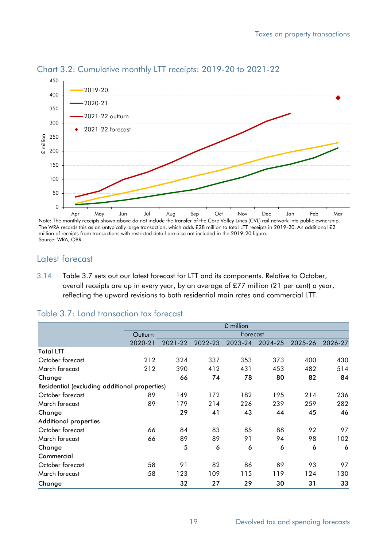

## Chart 3.2: Cumulative monthly LTT receipts: 2019-20 to 2021-22

Note: The monthly receipts shown above do not include the transfer of the Core Valley Lines (CVL) rail network into public ownership. The WRA records this as an untypically large transaction, which adds £28 million to total LTT receipts in 2019-20. An additional £2 million of receipts from transactions with restricted detail are also not included in the 2019-20 figure. Source: WRA, OBR

## Latest forecast

3.14 Table 3.7 sets out our latest forecast for LTT and its components. Relative to October, overall receipts are up in every year, by an average of £77 million (21 per cent) a year, reflecting the upward revisions to both residential main rates and commercial LTT.

|                                               |         |         |         | £ million |         |         |         |
|-----------------------------------------------|---------|---------|---------|-----------|---------|---------|---------|
|                                               | Outturn |         |         | Forecast  |         |         |         |
|                                               | 2020-21 | 2021-22 | 2022-23 | 2023-24   | 2024-25 | 2025-26 | 2026-27 |
| <b>Total LTT</b>                              |         |         |         |           |         |         |         |
| October forecast                              | 212     | 324     | 337     | 353       | 373     | 400     | 430     |
| March forecast                                | 212     | 390     | 412     | 431       | 453     | 482     | 514     |
| Change                                        |         | 66      | 74      | 78        | 80      | 82      | 84      |
| Residential (excluding additional properties) |         |         |         |           |         |         |         |
| October forecast                              | 89      | 149     | 172     | 182       | 195     | 214     | 236     |
| March forecast                                | 89      | 179     | 214     | 226       | 239     | 259     | 282     |
| Change                                        |         | 29      | 41      | 43        | 44      | 45      | 46      |
| <b>Additional properties</b>                  |         |         |         |           |         |         |         |
| October forecast                              | 66      | 84      | 83      | 85        | 88      | 92      | 97      |
| March forecast                                | 66      | 89      | 89      | 91        | 94      | 98      | 102     |
| Change                                        |         | 5       | 6       | 6         | 6       | 6       | 6       |
| Commercial                                    |         |         |         |           |         |         |         |
| October forecast                              | 58      | 91      | 82      | 86        | 89      | 93      | 97      |
| March forecast                                | 58      | 123     | 109     | 115       | 119     | 124     | 130     |
| Change                                        |         | 32      | 27      | 29        | 30      | 31      | 33      |

## Table 3.7: Land transaction tax forecast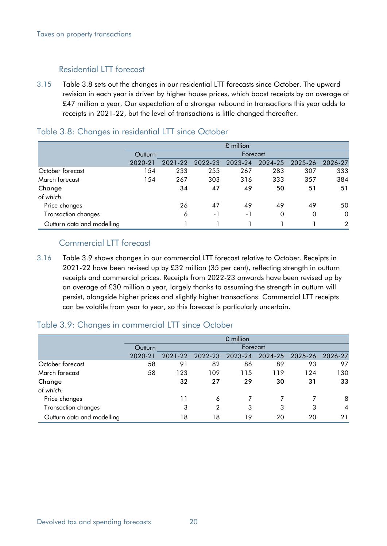#### Residential LTT forecast

3.15 Table 3.8 sets out the changes in our residential LTT forecasts since October. The upward revision in each year is driven by higher house prices, which boost receipts by an average of £47 million a year. Our expectation of a stronger rebound in transactions this year adds to receipts in 2021-22, but the level of transactions is little changed thereafter.

|                            |         | $£$ million |         |          |          |         |               |  |  |  |
|----------------------------|---------|-------------|---------|----------|----------|---------|---------------|--|--|--|
|                            | Outturn |             |         | Forecast |          |         |               |  |  |  |
|                            | 2020-21 | 2021-22     | 2022-23 | 2023-24  | 2024-25  | 2025-26 | 2026-27       |  |  |  |
| October forecast           | 154     | 233         | 255     | 267      | 283      | 307     | 333           |  |  |  |
| March forecast             | 154     | 267         | 303     | 316      | 333      | 357     | 384           |  |  |  |
| Change                     |         | 34          | 47      | 49       | 50       | 51      | 51            |  |  |  |
| of which:                  |         |             |         |          |          |         |               |  |  |  |
| Price changes              |         | 26          | 47      | 49       | 49       | 49      | 50            |  |  |  |
| <b>Transaction changes</b> |         | 6           | - 1     | $-1$     | $\Omega$ | 0       | $\Omega$      |  |  |  |
| Outturn data and modelling |         |             |         |          |          |         | $\mathcal{P}$ |  |  |  |

## Table 3.8: Changes in residential LTT since October `

## Commercial LTT forecast

3.16 Table 3.9 shows changes in our commercial LTT forecast relative to October. Receipts in 2021-22 have been revised up by £32 million (35 per cent), reflecting strength in outturn receipts and commercial prices. Receipts from 2022-23 onwards have been revised up by an average of £30 million a year, largely thanks to assuming the strength in outturn will persist, alongside higher prices and slightly higher transactions. Commercial LTT receipts can be volatile from year to year, so this forecast is particularly uncertain.

## Table 3.9: Changes in commercial LTT since October

|                            |         |         |         | £ million |         |         |         |
|----------------------------|---------|---------|---------|-----------|---------|---------|---------|
|                            | Outturn |         |         | Forecast  |         |         |         |
|                            | 2020-21 | 2021-22 | 2022-23 | 2023-24   | 2024-25 | 2025-26 | 2026-27 |
| October forecast           | 58      | 91      | 82      | 86        | 89      | 93      | 97      |
| March forecast             | 58      | 123     | 109     | 115       | 119     | 124     | 130     |
| Change                     |         | 32      | 27      | 29        | 30      | 31      | 33      |
| of which:                  |         |         |         |           |         |         |         |
| Price changes              |         | 11      | 6       |           |         |         | 8       |
| Transaction changes        |         | 3       | 2       | 3         | 3       | 3       | 4       |
| Outturn data and modelling |         | 18      | 18      | 19        | 20      | 20      | 21      |
|                            |         |         |         |           |         |         |         |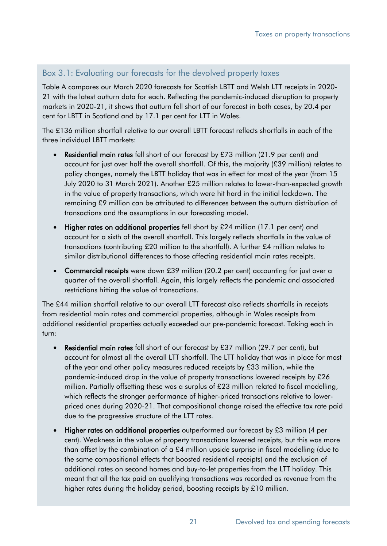## Box 3.1: Evaluating our forecasts for the devolved property taxes

Table A compares our March 2020 forecasts for Scottish LBTT and Welsh LTT receipts in 2020- 21 with the latest outturn data for each. Reflecting the pandemic-induced disruption to property markets in 2020-21, it shows that outturn fell short of our forecast in both cases, by 20.4 per cent for LBTT in Scotland and by 17.1 per cent for LTT in Wales.

 The £136 million shortfall relative to our overall LBTT forecast reflects shortfalls in each of the three individual LBTT markets:

- **Residential main rates** fell short of our forecast by £73 million (21.9 per cent) and account for just over half the overall shortfall. Of this, the majority (£39 million) relates to policy changes, namely the LBTT holiday that was in effect for most of the year (from 15 July 2020 to 31 March 2021). Another £25 million relates to lower-than-expected growth in the value of property transactions, which were hit hard in the initial lockdown. The remaining £9 million can be attributed to differences between the outturn distribution of transactions and the assumptions in our forecasting model.
- Higher rates on additional properties fell short by £24 million (17.1 per cent) and account for a sixth of the overall shortfall. This largely reflects shortfalls in the value of transactions (contributing £20 million to the shortfall). A further £4 million relates to similar distributional differences to those affecting residential main rates receipts.
- Commercial receipts were down £39 million (20.2 per cent) accounting for just over a quarter of the overall shortfall. Again, this largely reflects the pandemic and associated restrictions hitting the value of transactions.

The £44 million shortfall relative to our overall LTT forecast also reflects shortfalls in receipts from residential main rates and commercial properties, although in Wales receipts from additional residential properties actually exceeded our pre-pandemic forecast. Taking each in turn:

- Residential main rates fell short of our forecast by £37 million (29.7 per cent), but account for almost all the overall LTT shortfall. The LTT holiday that was in place for most of the year and other policy measures reduced receipts by £33 million, while the pandemic-induced drop in the value of property transactions lowered receipts by £26 million. Partially offsetting these was a surplus of £23 million related to fiscal modelling, which reflects the stronger performance of higher-priced transactions relative to lowerpriced ones during 2020-21. That compositional change raised the effective tax rate paid due to the progressive structure of the LTT rates.
- Higher rates on additional properties outperformed our forecast by £3 million (4 per cent). Weakness in the value of property transactions lowered receipts, but this was more than offset by the combination of a £4 million upside surprise in fiscal modelling (due to the same compositional effects that boosted residential receipts) and the exclusion of additional rates on second homes and buy-to-let properties from the LTT holiday. This meant that all the tax paid on qualifying transactions was recorded as revenue from the higher rates during the holiday period, boosting receipts by £10 million.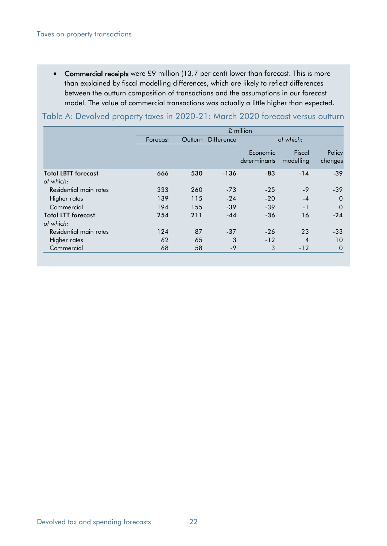• Commercial receipts were £9 million (13.7 per cent) lower than forecast. This is more than explained by fiscal modelling differences, which are likely to reflect differences between the outturn composition of transactions and the assumptions in our forecast model. The value of commercial transactions was actually a little higher than expected.

## Table A: Devolved property taxes in 2020-21: March 2020 forecast versus outturn

|                            |          |                |            | £ million                |                     |                   |
|----------------------------|----------|----------------|------------|--------------------------|---------------------|-------------------|
|                            | Forecast | <b>Outturn</b> | Difference |                          | of which:           |                   |
|                            |          |                |            | Economic<br>determinants | Fiscal<br>modelling | Policy<br>changes |
| <b>Total LBTT forecast</b> | 666      | 530            | $-136$     | $-83$                    | $-14$               | $-39$             |
| of which:                  |          |                |            |                          |                     |                   |
| Residential main rates     | 333      | 260            | $-73$      | $-25$                    | $-9$                | $-39$             |
| Higher rates               | 139      | 115            | $-24$      | $-20$                    | $-4$                | $\Omega$          |
| Commercial                 | 194      | 155            | $-39$      | $-39$                    | $-1$                | $\Omega$          |
| <b>Total LTT forecast</b>  | 254      | 211            | $-44$      | $-36$                    | 16                  | $-24$             |
| of which:                  |          |                |            |                          |                     |                   |
| Residential main rates     | 124      | 87             | $-37$      | $-26$                    | 23                  | $-33$             |
| Higher rates               | 62       | 65             | 3          | $-12$                    | 4                   | 10                |
| Commercial                 | 68       | 58             | $-9$       | 3                        | $-12$               | $\Omega$          |
|                            |          |                |            |                          |                     |                   |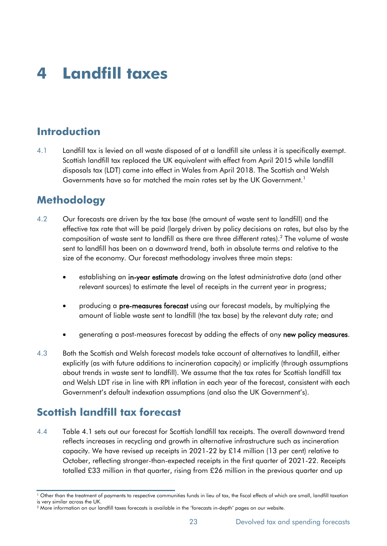# **4 Landfill taxes**

# **Introduction**

 4.1 Landfill tax is levied on all waste disposed of at a landfill site unless it is specifically exempt. Scottish landfill tax replaced the UK equivalent with effect from April 2015 while landfill disposals tax (LDT) came into effect in Wales from April 2018. The Scottish and Welsh Governments have so far matched the main rates set by the UK Government.<sup>1</sup>

# **Methodology**

- 4.2 Our forecasts are driven by the tax base (the amount of waste sent to landfill) and the effective tax rate that will be paid (largely driven by policy decisions on rates, but also by the composition of waste sent to landfill as there are three different rates).2 The volume of waste sent to landfill has been on a downward trend, both in absolute terms and relative to the size of the economy. Our forecast methodology involves three main steps:
	- establishing an in-year estimate drawing on the latest administrative data (and other relevant sources) to estimate the level of receipts in the current year in progress;
	- producing a **pre-measures forecast** using our forecast models, by multiplying the amount of liable waste sent to landfill (the tax base) by the relevant duty rate; and
	- generating a post-measures forecast by adding the effects of any **new policy measures.**
- 4.3 Both the Scottish and Welsh forecast models take account of alternatives to landfill, either explicitly (as with future additions to incineration capacity) or implicitly (through assumptions about trends in waste sent to landfill). We assume that the tax rates for Scottish landfill tax and Welsh LDT rise in line with RPI inflation in each year of the forecast, consistent with each Government's default indexation assumptions (and also the UK Government's).

# **Scottish landfill tax forecast**

4.4 Table 4.1 sets out our forecast for Scottish landfill tax receipts. The overall downward trend reflects increases in recycling and growth in alternative infrastructure such as incineration capacity. We have revised up receipts in 2021-22 by £14 million (13 per cent) relative to October, reflecting stronger-than-expected receipts in the first quarter of 2021-22. Receipts totalled £33 million in that quarter, rising from £26 million in the previous quarter and up

<sup>&</sup>lt;sup>1</sup> Other than the treatment of payments to respective communities funds in lieu of tax, the fiscal effects of which are small, landfill taxation is very similar across the UK.

<sup>&</sup>lt;sup>2</sup> More information on our landfill taxes forecasts is available in the 'forecasts in-depth' pages on our website.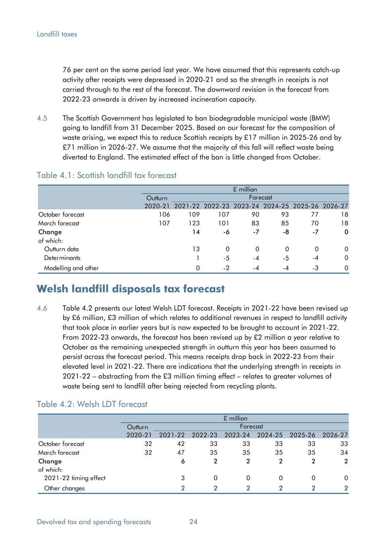76 per cent on the same period last year. We have assumed that this represents catch-up activity after receipts were depressed in 2020-21 and so the strength in receipts is not carried through to the rest of the forecast. The downward revision in the forecast from 2022-23 onwards is driven by increased incineration capacity.

4.5 The Scottish Government has legislated to ban biodegradable municipal waste (BMW) going to landfill from 31 December 2025. Based on our forecast for the composition of waste arising, we expect this to reduce Scottish receipts by £17 million in 2025-26 and by £71 million in 2026-27. We assume that the majority of this fall will reflect waste being diverted to England. The estimated effect of the ban is little changed from October.

#### Table 4.1: Scottish landfill tax forecast

|                     |         | £ million |                                                 |      |    |          |             |  |  |  |
|---------------------|---------|-----------|-------------------------------------------------|------|----|----------|-------------|--|--|--|
|                     | Outturn | Forecast  |                                                 |      |    |          |             |  |  |  |
|                     | 2020-21 |           | 2021-22 2022-23 2023-24 2024-25 2025-26 2026-27 |      |    |          |             |  |  |  |
| October forecast    | 106     | 109       | 107                                             | 90   | 93 | 77       | 18          |  |  |  |
| March forecast      | 107     | 123       | 101                                             | 83   | 85 | 70       | 18          |  |  |  |
| Change              |         | 14        | -6                                              | $-7$ | -8 | $-7$     | $\mathbf 0$ |  |  |  |
| of which:           |         |           |                                                 |      |    |          |             |  |  |  |
| Outturn data        |         | 13        | 0                                               | 0    | 0  | $\Omega$ | 0           |  |  |  |
| <b>Determinants</b> |         |           | -5                                              | -4   | -5 | -4       | 0           |  |  |  |
| Modelling and other |         | 0         | $-2$                                            | -4   |    | -3       | $\Omega$    |  |  |  |

# **Welsh landfill disposals tax forecast**

4.6 Table 4.2 presents our latest Welsh LDT forecast. Receipts in 2021-22 have been revised up by £6 million, £3 million of which relates to additional revenues in respect to landfill activity that took place in earlier years but is now expected to be brought to account in 2021-22. From 2022-23 onwards, the forecast has been revised up by £2 million a year relative to October as the remaining unexpected strength in outturn this year has been assumed to persist across the forecast period. This means receipts drop back in 2022-23 from their elevated level in 2021-22. There are indications that the underlying strength in receipts in 2021-22 – abstracting from the £3 million timing effect – relates to greater volumes of waste being sent to landfill after being rejected from recycling plants.

|         | £ million |         |          |         |         |                |  |  |  |  |
|---------|-----------|---------|----------|---------|---------|----------------|--|--|--|--|
| Outturn |           |         | Forecast |         |         |                |  |  |  |  |
| 2020-21 | 2021-22   | 2022-23 | 2023-24  | 2024-25 | 2025-26 | 2026-27        |  |  |  |  |
| 32      | 42        | 33      | 33       | 33      | 33      | 33             |  |  |  |  |
| 32      | 47        | 35      | 35       | 35      | 35      | 34             |  |  |  |  |
|         | 6         | 2       | 2        | 2       | 2       | $\overline{2}$ |  |  |  |  |
|         |           |         |          |         |         |                |  |  |  |  |
|         | 3         | 0       | 0        | 0       | 0       | $\Omega$       |  |  |  |  |
|         | 2         | っ       | 2        | っ       | っ       | $\mathcal{P}$  |  |  |  |  |
|         |           |         |          |         |         |                |  |  |  |  |

## Table 4.2: Welsh LDT forecast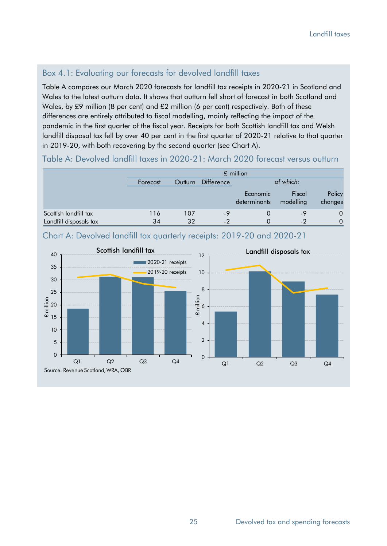## Box 4.1: Evaluating our forecasts for devolved landfill taxes

 landfill disposal tax fell by over 40 per cent in the first quarter of 2020-21 relative to that quarter Table A compares our March 2020 forecasts for landfill tax receipts in 2020-21 in Scotland and Wales to the latest outturn data. It shows that outturn fell short of forecast in both Scotland and Wales, by £9 million (8 per cent) and £2 million (6 per cent) respectively. Both of these differences are entirely attributed to fiscal modelling, mainly reflecting the impact of the pandemic in the first quarter of the fiscal year. Receipts for both Scottish landfill tax and Welsh in 2019-20, with both recovering by the second quarter (see Chart A).

## Table A: Devolved landfill taxes in 2020-21: March 2020 forecast versus outturn

|                        |          | £ million |                   |                          |                     |                   |  |  |  |
|------------------------|----------|-----------|-------------------|--------------------------|---------------------|-------------------|--|--|--|
|                        | Forecast | Outturn   | <b>Difference</b> | of which:                |                     |                   |  |  |  |
|                        |          |           |                   | Economic<br>determinants | Fiscal<br>modelling | Policy<br>changes |  |  |  |
| Scottish landfill tax  | 116      | 107       | -9                |                          | -9                  | O                 |  |  |  |
| Landfill disposals tax | 34       | 32        | $-2$              |                          | $-2$                | $\Omega$          |  |  |  |

## Chart A: Devolved landfill tax quarterly receipts: 2019-20 and 2020-21

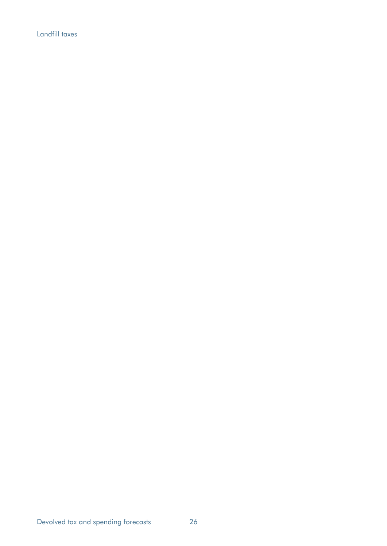Landfill taxes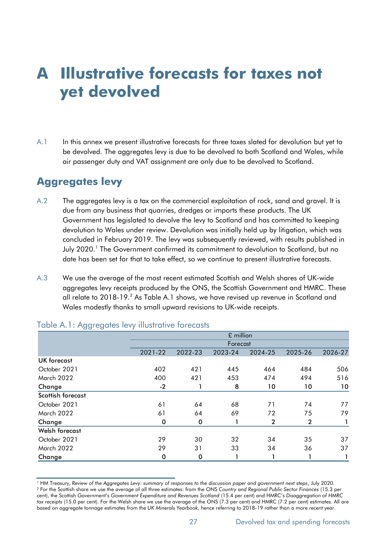# **A Illustrative forecasts for taxes not yet devolved**

A.1 In this annex we present illustrative forecasts for three taxes slated for devolution but yet to be devolved. The aggregates levy is due to be devolved to both Scotland and Wales, while air passenger duty and VAT assignment are only due to be devolved to Scotland.

# **Aggregates levy**

- A.2 The aggregates levy is a tax on the commercial exploitation of rock, sand and gravel. It is due from any business that quarries, dredges or imports these products. The UK Government has legislated to devolve the levy to Scotland and has committed to keeping devolution to Wales under review. Devolution was initially held up by litigation, which was concluded in February 2019. The levy was subsequently reviewed, with results published in July 2020. 1 The Government confirmed its commitment to devolution to Scotland, but no date has been set for that to take effect, so we continue to present illustrative forecasts.
- A.3 We use the average of the most recent estimated Scottish and Welsh shares of UK-wide aggregates levy receipts produced by the ONS, the Scottish Government and HMRC. These all relate to 2018-19.<sup>2</sup> As Table A.1 shows, we have revised up revenue in Scotland and Wales modestly thanks to small upward revisions to UK-wide receipts.

|                    |         |         | £ million |         |                |         |
|--------------------|---------|---------|-----------|---------|----------------|---------|
|                    |         |         | Forecast  |         |                |         |
|                    | 2021-22 | 2022-23 | 2023-24   | 2024-25 | 2025-26        | 2026-27 |
| <b>UK</b> forecast |         |         |           |         |                |         |
| October 2021       | 402     | 421     | 445       | 464     | 484            | 506     |
| <b>March 2022</b>  | 400     | 421     | 453       | 474     | 494            | 516     |
| Change             | $-2$    |         | 8         | 10      | 10             | 10      |
| Scottish forecast  |         |         |           |         |                |         |
| October 2021       | 61      | 64      | 68        | 71      | 74             | 77      |
| <b>March 2022</b>  | 61      | 64      | 69        | 72      | 75             | 79      |
| Change             | 0       | 0       |           | 2       | $\overline{2}$ |         |
| Welsh forecast     |         |         |           |         |                |         |
| October 2021       | 29      | 30      | 32        | 34      | 35             | 37      |
| March 2022         | 29      | 31      | 33        | 34      | 36             | 37      |
| Change             | 0       | 0       |           |         |                |         |

#### Table A.1: Aggregates levy illustrative forecasts

<sup>&</sup>lt;sup>1</sup> HM Treasury, Review of the Aggregates Levy: summary of responses to the discussion paper and government next steps, July 2020.<br><sup>2</sup> For the Scottish share we use the average of all three estimates: from the ONS Country cent), the Scottish Government's *Government Expenditure and Revenues Scotland* (15.4 per cent) and HMRC's *Disaggregation of HMRC tax receipts* (15.0 per cent). For the Welsh share we use the average of the ONS (7.3 per cent) and HMRC (7.2 per cent) estimates. All are based on aggregate tonnage estimates from the *UK Minerals Yearbook*, hence referring to 2018-19 rather than a more recent year*.*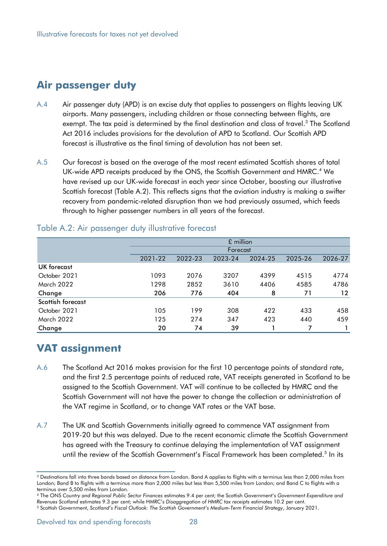# **Air passenger duty**

- A.4 Air passenger duty (APD) is an excise duty that applies to passengers on flights leaving UK airports. Many passengers, including children or those connecting between flights, are exempt. The tax paid is determined by the final destination and class of travel.<sup>3</sup> The Scotland Act 2016 includes provisions for the devolution of APD to Scotland. Our Scottish APD forecast is illustrative as the final timing of devolution has not been set.
- A.5 Our forecast is based on the average of the most recent estimated Scottish shares of total UK-wide APD receipts produced by the ONS, the Scottish Government and HMRC.<sup>4</sup> We have revised up our UK-wide forecast in each year since October, boosting our illustrative Scottish forecast (Table A.2). This reflects signs that the aviation industry is making a swifter recovery from pandemic-related disruption than we had previously assumed, which feeds through to higher passenger numbers in all years of the forecast.

|                    |         | £ million |         |         |         |         |  |  |  |  |  |  |  |
|--------------------|---------|-----------|---------|---------|---------|---------|--|--|--|--|--|--|--|
|                    |         | Forecast  |         |         |         |         |  |  |  |  |  |  |  |
|                    | 2021-22 | 2022-23   | 2023-24 | 2024-25 | 2025-26 | 2026-27 |  |  |  |  |  |  |  |
| <b>UK</b> forecast |         |           |         |         |         |         |  |  |  |  |  |  |  |
| October 2021       | 1093    | 2076      | 3207    | 4399    | 4515    | 4774    |  |  |  |  |  |  |  |
| March 2022         | 1298    | 2852      | 3610    | 4406    | 4585    | 4786    |  |  |  |  |  |  |  |
| Change             | 206     | 776       | 404     | 8       | 71      | 12      |  |  |  |  |  |  |  |
| Scottish forecast  |         |           |         |         |         |         |  |  |  |  |  |  |  |
| October 2021       | 105     | 199       | 308     | 422     | 433     | 458     |  |  |  |  |  |  |  |
| March 2022         | 125     | 274       | 347     | 423     | 440     | 459     |  |  |  |  |  |  |  |
| Change             | 20      | 74        | 39      |         |         |         |  |  |  |  |  |  |  |

## Table A.2: Air passenger duty illustrative forecast

# **VAT assignment**

- A.6 The Scotland Act 2016 makes provision for the first 10 percentage points of standard rate, and the first 2.5 percentage points of reduced rate, VAT receipts generated in Scotland to be assigned to the Scottish Government. VAT will continue to be collected by HMRC and the Scottish Government will not have the power to change the collection or administration of the VAT regime in Scotland, or to change VAT rates or the VAT base.
- A.7 The UK and Scottish Governments initially agreed to commence VAT assignment from 2019-20 but this was delayed. Due to the recent economic climate the Scottish Government has agreed with the Treasury to continue delaying the implementation of VAT assignment until the review of the Scottish Government's Fiscal Framework has been completed.<sup>5</sup> In its

<sup>&</sup>lt;sup>3</sup> Destinations fall into three bands based on distance from London. Band A applies to flights with a terminus less than 2,000 miles from London; Band B to flights with a terminus more than 2,000 miles but less than 5,500 miles from London; and Band C to flights with a terminus over 5,500 miles from London.

Revenues Scotland estimates 9.3 per cent; while HMRC's Disaggregation of HMRC tax receipts estimates 10.2 per cent. 4 The ONS *Country and Regional Public Sector Finances* estimates 9.4 per cent; the Scottish Government's *Government Expenditure and* 

<sup>&</sup>lt;sup>5</sup> Scottish Government, Scotland's Fiscal Outlook: The Scottish Government's Medium-Term Financial Strategy, January 2021.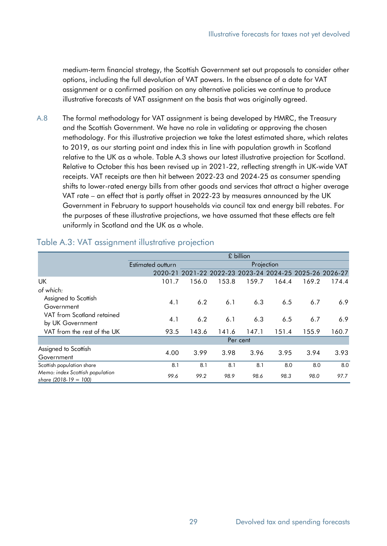medium-term financial strategy, the Scottish Government set out proposals to consider other options, including the full devolution of VAT powers. In the absence of a date for VAT assignment or a confirmed position on any alternative policies we continue to produce illustrative forecasts of VAT assignment on the basis that was originally agreed.

A.8 The formal methodology for VAT assignment is being developed by HMRC, the Treasury and the Scottish Government. We have no role in validating or approving the chosen methodology. For this illustrative projection we take the latest estimated share, which relates to 2019, as our starting point and index this in line with population growth in Scotland relative to the UK as a whole. Table A.3 shows our latest illustrative projection for Scotland. Relative to October this has been revised up in 2021-22, reflecting strength in UK-wide VAT receipts. VAT receipts are then hit between 2022-23 and 2024-25 as consumer spending shifts to lower-rated energy bills from other goods and services that attract a higher average VAT rate – an effect that is partly offset in 2022-23 by measures announced by the UK Government in February to support households via council tax and energy bill rebates. For the purposes of these illustrative projections, we have assumed that these effects are felt uniformly in Scotland and the UK as a whole.

|                                 | £ billion         |       |       |          |                                                 |       |       |  |  |  |
|---------------------------------|-------------------|-------|-------|----------|-------------------------------------------------|-------|-------|--|--|--|
|                                 | Estimated outturn |       |       |          | Projection                                      |       |       |  |  |  |
|                                 | 2020-21           |       |       |          | 2021-22 2022-23 2023-24 2024-25 2025-26 2026-27 |       |       |  |  |  |
| <b>UK</b>                       | 101.7             | 156.0 | 153.8 | 159.7    | 164.4                                           | 169.2 | 174.4 |  |  |  |
| of which:                       |                   |       |       |          |                                                 |       |       |  |  |  |
| Assigned to Scottish            | 4.1               | 6.2   | 6.1   | 6.3      | 6.5                                             | 6.7   | 6.9   |  |  |  |
| Government                      |                   |       |       |          |                                                 |       |       |  |  |  |
| VAT from Scotland retained      | 4.1               | 6.2   | 6.1   | 6.3      | 6.5                                             | 6.7   | 6.9   |  |  |  |
| by UK Government                |                   |       |       |          |                                                 |       |       |  |  |  |
| VAT from the rest of the UK     | 93.5              | 143.6 | 141.6 | 147.1    | 151.4                                           | 155.9 | 160.7 |  |  |  |
|                                 |                   |       |       | Per cent |                                                 |       |       |  |  |  |
| Assigned to Scottish            | 4.00              | 3.99  | 3.98  | 3.96     | 3.95                                            | 3.94  | 3.93  |  |  |  |
| Government                      |                   |       |       |          |                                                 |       |       |  |  |  |
| Scottish population share       | 8.1               | 8.1   | 8.1   | 8.1      | 8.0                                             | 8.0   | 8.0   |  |  |  |
| Memo: index Scottish population | 99.6              | 99.2  | 98.9  | 98.6     | 98.3                                            | 98.0  | 97.7  |  |  |  |
| share $(2018 - 19 = 100)$       |                   |       |       |          |                                                 |       |       |  |  |  |

## Table A.3: VAT assignment illustrative projection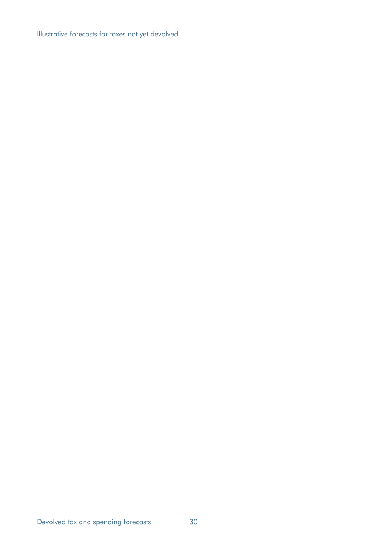Illustrative forecasts for taxes not yet devolved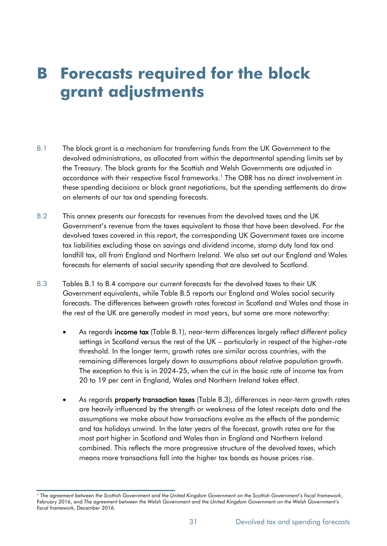# **B Forecasts required for the block grant adjustments**

- B.1 The block grant is a mechanism for transferring funds from the UK Government to the devolved administrations, as allocated from within the departmental spending limits set by the Treasury. The block grants for the Scottish and Welsh Governments are adjusted in accordance with their respective fiscal frameworks.<sup>1</sup> The OBR has no direct involvement in these spending decisions or block grant negotiations, but the spending settlements do draw on elements of our tax and spending forecasts.
- B.2 This annex presents our forecasts for revenues from the devolved taxes and the UK Government's revenue from the taxes equivalent to those that have been devolved. For the devolved taxes covered in this report, the corresponding UK Government taxes are income tax liabilities excluding those on savings and dividend income, stamp duty land tax and landfill tax, all from England and Northern Ireland. We also set out our England and Wales forecasts for elements of social security spending that are devolved to Scotland.
- forecasts. The differences between growth rates forecast in Scotland and Wales and those in B.3 Tables B.1 to B.4 compare our current forecasts for the devolved taxes to their UK Government equivalents, while Table B.5 reports our England and Wales social security the rest of the UK are generally modest in most years, but some are more noteworthy:
	- As regards income tax (Table B.1), near-term differences largely reflect different policy settings in Scotland versus the rest of the UK – particularly in respect of the higher-rate threshold. In the longer term, growth rates are similar across countries, with the remaining differences largely down to assumptions about relative population growth. The exception to this is in 2024-25, when the cut in the basic rate of income tax from 20 to 19 per cent in England, Wales and Northern Ireland takes effect.
	- As regards **property transaction taxes** (Table B.3), differences in near-term growth rates are heavily influenced by the strength or weakness of the latest receipts data and the assumptions we make about how transactions evolve as the effects of the pandemic and tax holidays unwind. In the later years of the forecast, growth rates are for the most part higher in Scotland and Wales than in England and Northern Ireland combined. This reflects the more progressive structure of the devolved taxes, which means more transactions fall into the higher tax bands as house prices rise.

<sup>1</sup>*The agreement between the Scottish Government and the United Kingdom Government on the Scottish Government's fiscal framework*, February 2016, and *The agreement between the Welsh Government and the United Kingdom Government on the Welsh Government's fiscal framework*, December 2016.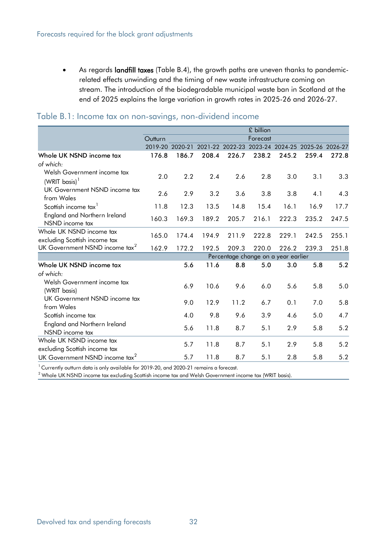• As regards landfill taxes (Table B.4), the growth paths are uneven thanks to pandemicrelated effects unwinding and the timing of new waste infrastructure coming on stream. The introduction of the biodegradable municipal waste ban in Scotland at the end of 2025 explains the large variation in growth rates in 2025-26 and 2026-27.

|                                                                             |         |       |                                                                 |                                     | £ billion |       |       |       |
|-----------------------------------------------------------------------------|---------|-------|-----------------------------------------------------------------|-------------------------------------|-----------|-------|-------|-------|
|                                                                             | Outturn |       |                                                                 |                                     | Forecast  |       |       |       |
|                                                                             |         |       | 2019-20 2020-21 2021-22 2022-23 2023-24 2024-25 2025-26 2026-27 |                                     |           |       |       |       |
| Whole UK NSND income tax                                                    | 176.8   | 186.7 | 208.4                                                           | 226.7                               | 238.2     | 245.2 | 259.4 | 272.8 |
| of which:                                                                   |         |       |                                                                 |                                     |           |       |       |       |
| Welsh Government income tax                                                 | 2.0     | 2.2   | 2.4                                                             | 2.6                                 | 2.8       | 3.0   | 3.1   | 3.3   |
| (WRIT basis) $1$                                                            |         |       |                                                                 |                                     |           |       |       |       |
| UK Government NSND income tax                                               | 2.6     | 2.9   | 3.2                                                             | 3.6                                 | 3.8       | 3.8   | 4.1   | 4.3   |
| from Wales                                                                  |         |       |                                                                 |                                     |           |       |       |       |
| Scottish income tax <sup>1</sup>                                            | 11.8    | 12.3  | 13.5                                                            | 14.8                                | 15.4      | 16.1  | 16.9  | 17.7  |
| England and Northern Ireland                                                | 160.3   | 169.3 | 189.2                                                           | 205.7                               | 216.1     | 222.3 | 235.2 | 247.5 |
| NSND income tax                                                             |         |       |                                                                 |                                     |           |       |       |       |
| Whole UK NSND income tax                                                    | 165.0   | 174.4 | 194.9                                                           | 211.9                               | 222.8     | 229.1 | 242.5 | 255.1 |
| excluding Scottish income tax<br>UK Government NSND income tax <sup>2</sup> |         |       |                                                                 |                                     |           |       |       |       |
|                                                                             | 162.9   | 172.2 | 192.5                                                           | 209.3                               | 220.0     | 226.2 | 239.3 | 251.8 |
| Whole UK NSND income tax                                                    |         |       | 11.6                                                            | Percentage change on a year earlier | 5.0       |       |       | 5.2   |
| of which:                                                                   |         | 5.6   |                                                                 | 8.8                                 |           | 3.0   | 5.8   |       |
| Welsh Government income tax                                                 |         |       |                                                                 |                                     |           |       |       |       |
| (WRIT basis)                                                                |         | 6.9   | 10.6                                                            | 9.6                                 | 6.0       | 5.6   | 5.8   | 5.0   |
| UK Government NSND income tax                                               |         | 9.0   | 12.9                                                            | 11.2                                | 6.7       | 0.1   | 7.0   | 5.8   |
| from Wales                                                                  |         |       |                                                                 |                                     |           |       |       |       |
| Scottish income tax                                                         |         | 4.0   | 9.8                                                             | 9.6                                 | 3.9       | 4.6   | 5.0   | 4.7   |
| England and Northern Ireland                                                |         | 5.6   | 11.8                                                            | 8.7                                 | 5.1       | 2.9   | 5.8   | 5.2   |
| NSND income tax                                                             |         |       |                                                                 |                                     |           |       |       |       |
| Whole UK NSND income tax                                                    |         | 5.7   | 11.8                                                            | 8.7                                 | 5.1       | 2.9   | 5.8   | 5.2   |
| excluding Scottish income tax                                               |         |       |                                                                 |                                     |           |       |       |       |
| UK Government NSND income tax <sup>2</sup>                                  |         | 5.7   | 11.8                                                            | 8.7                                 | 5.1       | 2.8   | 5.8   | 5.2   |

#### Table B.1: Income tax on non-savings, non-dividend income

<sup>1</sup> Currently outturn data is only available for 2019-20, and 2020-21 remains a forecast.

 $^2$  Whole UK NSND income tax excluding Scottish income tax and Welsh Government income tax (WRIT basis).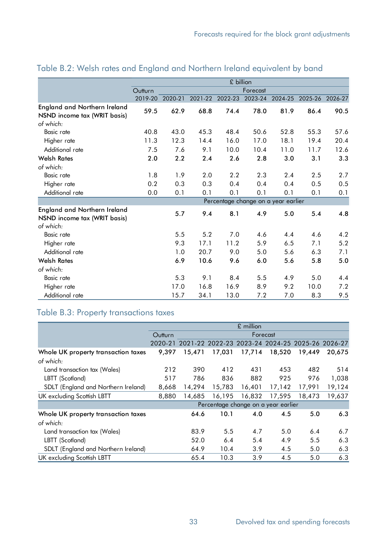|                                                                     | £ billion |         |      |                         |                                     |                         |      |      |  |  |
|---------------------------------------------------------------------|-----------|---------|------|-------------------------|-------------------------------------|-------------------------|------|------|--|--|
|                                                                     | Outturn   |         |      |                         | Forecast                            |                         |      |      |  |  |
|                                                                     | 2019-20   | 2020-21 |      | 2021-22 2022-23 2023-24 |                                     | 2024-25 2025-26 2026-27 |      |      |  |  |
| <b>England and Northern Ireland</b>                                 | 59.5      | 62.9    | 68.8 | 74.4                    | 78.0                                | 81.9                    | 86.4 | 90.5 |  |  |
| NSND income tax (WRIT basis)                                        |           |         |      |                         |                                     |                         |      |      |  |  |
| of which:                                                           |           |         |      |                         |                                     |                         |      |      |  |  |
| Basic rate                                                          | 40.8      | 43.0    | 45.3 | 48.4                    | 50.6                                | 52.8                    | 55.3 | 57.6 |  |  |
| Higher rate                                                         | 11.3      | 12.3    | 14.4 | 16.0                    | 17.0                                | 18.1                    | 19.4 | 20.4 |  |  |
| Additional rate                                                     | 7.5       | 7.6     | 9.1  | 10.0                    | 10.4                                | 11.0                    | 11.7 | 12.6 |  |  |
| <b>Welsh Rates</b>                                                  | 2.0       | 2.2     | 2.4  | 2.6                     | 2.8                                 | 3.0                     | 3.1  | 3.3  |  |  |
| of which:                                                           |           |         |      |                         |                                     |                         |      |      |  |  |
| Basic rate                                                          | 1.8       | 1.9     | 2.0  | 2.2                     | 2.3                                 | 2.4                     | 2.5  | 2.7  |  |  |
| Higher rate                                                         | 0.2       | 0.3     | 0.3  | 0.4                     | 0.4                                 | 0.4                     | 0.5  | 0.5  |  |  |
| Additional rate                                                     | 0.0       | 0.1     | 0.1  | 0.1                     | 0.1                                 | 0.1                     | 0.1  | 0.1  |  |  |
|                                                                     |           |         |      |                         | Percentage change on a year earlier |                         |      |      |  |  |
| <b>England and Northern Ireland</b><br>NSND income tax (WRIT basis) |           | 5.7     | 9.4  | 8.1                     | 4.9                                 | 5.0                     | 5.4  | 4.8  |  |  |
| of which:                                                           |           |         |      |                         |                                     |                         |      |      |  |  |
| Basic rate                                                          |           | 5.5     | 5.2  | 7.0                     | 4.6                                 | 4.4                     | 4.6  | 4.2  |  |  |
| Higher rate                                                         |           | 9.3     | 17.1 | 11.2                    | 5.9                                 | 6.5                     | 7.1  | 5.2  |  |  |
| Additional rate                                                     |           | 1.0     | 20.7 | 9.0                     | 5.0                                 | 5.6                     | 6.3  | 7.1  |  |  |
| <b>Welsh Rates</b>                                                  |           | 6.9     | 10.6 | 9.6                     | 6.0                                 | 5.6                     | 5.8  | 5.0  |  |  |
| of which:                                                           |           |         |      |                         |                                     |                         |      |      |  |  |
| Basic rate                                                          |           | 5.3     | 9.1  | 8.4                     | 5.5                                 | 4.9                     | 5.0  | 4.4  |  |  |
| Higher rate                                                         |           | 17.0    | 16.8 | 16.9                    | 8.9                                 | 9.2                     | 10.0 | 7.2  |  |  |
| Additional rate                                                     |           | 15.7    | 34.1 | 13.0                    | 7.2                                 | 7.0                     | 8.3  | 9.5  |  |  |

# Table B.2: Welsh rates and England and Northern Ireland equivalent by band

# Table B.3: Property transactions taxes

|                                     | $£$ million |          |        |        |                                     |                                                 |        |  |  |  |
|-------------------------------------|-------------|----------|--------|--------|-------------------------------------|-------------------------------------------------|--------|--|--|--|
|                                     | Outturn     | Forecast |        |        |                                     |                                                 |        |  |  |  |
|                                     | 2020-21     |          |        |        |                                     | 2021-22 2022-23 2023-24 2024-25 2025-26 2026-27 |        |  |  |  |
| Whole UK property transaction taxes | 9,397       | 15,471   | 17,031 | 17,714 | 18,520                              | 19.449                                          | 20.675 |  |  |  |
| of which:                           |             |          |        |        |                                     |                                                 |        |  |  |  |
| Land transaction tax (Wales)        | 212         | 390      | 412    | 431    | 453                                 | 482                                             | 514    |  |  |  |
| LBTT (Scotland)                     | 517         | 786      | 836    | 882    | 925                                 | 976                                             | 1,038  |  |  |  |
| SDLT (England and Northern Ireland) | 8,668       | 14,294   | 15,783 | 16,401 | 17,142                              | 17,991                                          | 19,124 |  |  |  |
| <b>UK excluding Scottish LBTT</b>   | 8,880       | 14,685   | 16,195 | 16,832 | 17,595                              | 18,473                                          | 19,637 |  |  |  |
|                                     |             |          |        |        | Percentage change on a year earlier |                                                 |        |  |  |  |
| Whole UK property transaction taxes |             | 64.6     | 10.1   | 4.0    | 4.5                                 | 5.0                                             | 6.3    |  |  |  |
| of which:                           |             |          |        |        |                                     |                                                 |        |  |  |  |
| Land transaction tax (Wales)        |             | 83.9     | 5.5    | 4.7    | 5.0                                 | 6.4                                             | 6.7    |  |  |  |
| LBTT (Scotland)                     |             | 52.0     | 6.4    | 5.4    | 4.9                                 | 5.5                                             | 6.3    |  |  |  |
| SDLT (England and Northern Ireland) |             | 64.9     | 10.4   | 3.9    | 4.5                                 | 5.0                                             | 6.3    |  |  |  |
| <b>UK excluding Scottish LBTT</b>   |             | 65.4     | 10.3   | 3.9    | 4.5                                 | 5.0                                             | 6.3    |  |  |  |
|                                     |             |          |        |        |                                     |                                                 |        |  |  |  |